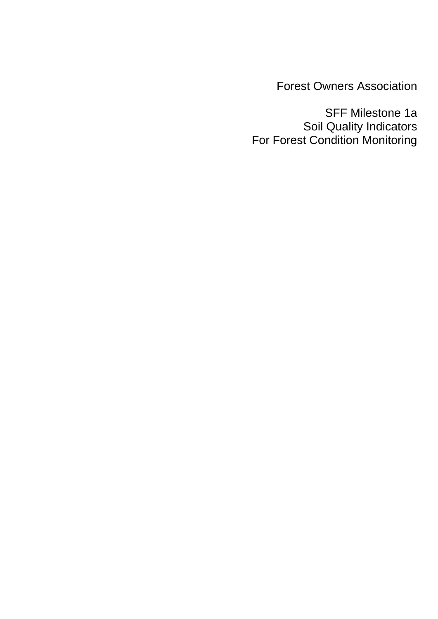Forest Owners Association

SFF Milestone 1a Soil Quality Indicators For Forest Condition Monitoring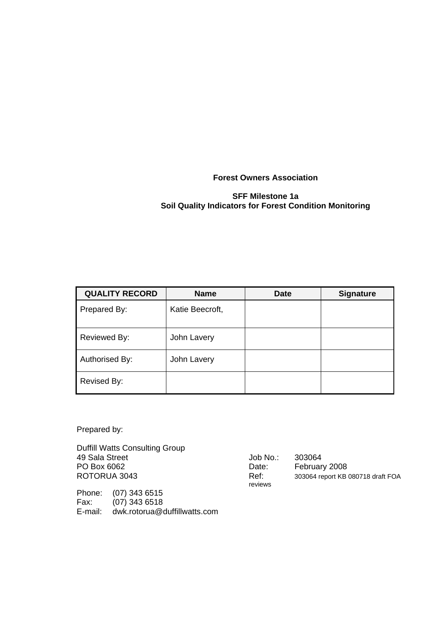**Forest Owners Association** 

#### **SFF Milestone 1a Soil Quality Indicators for Forest Condition Monitoring**

| <b>QUALITY RECORD</b> | <b>Name</b>     | <b>Date</b> | <b>Signature</b> |
|-----------------------|-----------------|-------------|------------------|
| Prepared By:          | Katie Beecroft, |             |                  |
| Reviewed By:          | John Lavery     |             |                  |
| Authorised By:        | John Lavery     |             |                  |
| Revised By:           |                 |             |                  |

Prepared by:

Duffill Watts Consulting Group 49 Sala Street  $\overline{)}$  Job No.: 303064<br>PO Box 6062 Date: Februar PO Box 6062 Date: February 2008<br>ROTORUA 3043 ROTORUA 3043

Phone: (07) 343 6515 Fax: (07) 343 6518 E-mail: dwk.rotorua@duffillwatts.com reviews

Ref: 303064 report KB 080718 draft FOA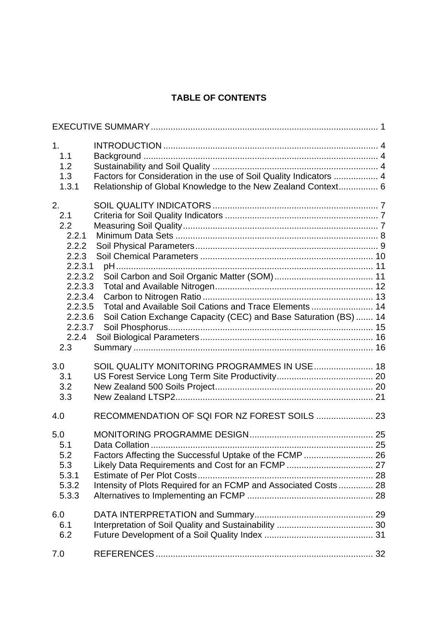## **TABLE OF CONTENTS**

| 1 <sub>1</sub> | 1.1<br>1.2<br>1.3<br>1.3.1                                                                                                         | Factors for Consideration in the use of Soil Quality Indicators  4<br>Relationship of Global Knowledge to the New Zealand Context 6                                             |  |
|----------------|------------------------------------------------------------------------------------------------------------------------------------|---------------------------------------------------------------------------------------------------------------------------------------------------------------------------------|--|
| 2.             | 2.1<br>2.2<br>2.2.1<br>2.2.2<br>2.2.3<br>2.2.3.1<br>2.2.3.2<br>2.2.3.3<br>2.2.3.4<br>2.2.3.5<br>2.2.3.6<br>2.2.3.7<br>2.2.4<br>2.3 | Total and Available Soil Cations and Trace Elements  14<br>Soil Cation Exchange Capacity (CEC) and Base Saturation (BS)  14                                                     |  |
| 3.0            | 3.1<br>3.2<br>3.3                                                                                                                  | SOIL QUALITY MONITORING PROGRAMMES IN USE  18                                                                                                                                   |  |
| 4.0            |                                                                                                                                    |                                                                                                                                                                                 |  |
|                | 5.0<br>5.1<br>5.2<br>5.3<br>5.3.1<br>5.3.2<br>5.3.3                                                                                | Factors Affecting the Successful Uptake of the FCMP  26<br>Likely Data Requirements and Cost for an FCMP  27<br>Intensity of Plots Required for an FCMP and Associated Costs 28 |  |
| 6.0            | 6.1<br>6.2                                                                                                                         |                                                                                                                                                                                 |  |
| 7.0            |                                                                                                                                    |                                                                                                                                                                                 |  |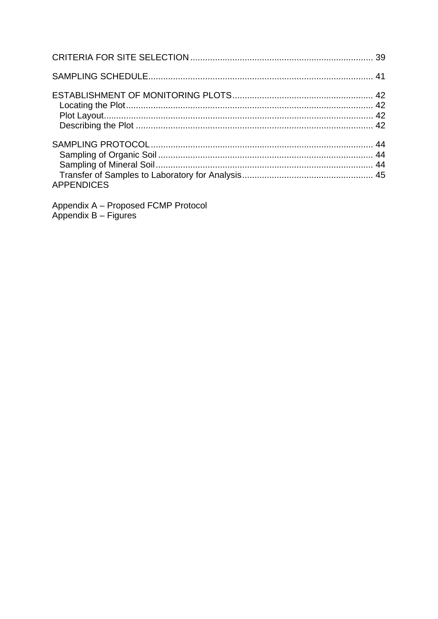| <b>APPENDICES</b> |  |
|-------------------|--|

Appendix A - Proposed FCMP Protocol<br>Appendix B - Figures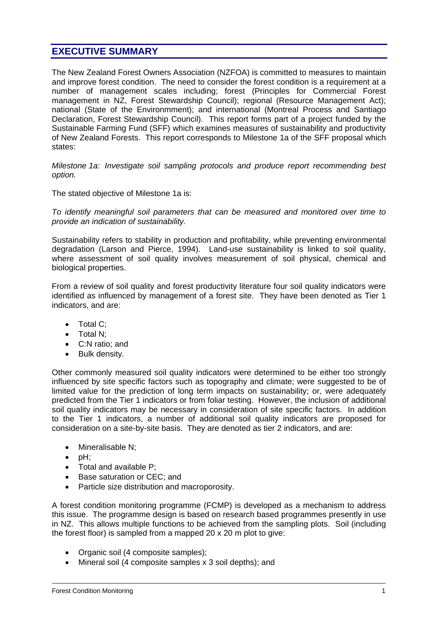## **EXECUTIVE SUMMARY**

The New Zealand Forest Owners Association (NZFOA) is committed to measures to maintain and improve forest condition. The need to consider the forest condition is a requirement at a number of management scales including; forest (Principles for Commercial Forest management in NZ, Forest Stewardship Council); regional (Resource Management Act); national (State of the Environmment); and international (Montreal Process and Santiago Declaration, Forest Stewardship Council). This report forms part of a project funded by the Sustainable Farming Fund (SFF) which examines measures of sustainability and productivity of New Zealand Forests. This report corresponds to Milestone 1a of the SFF proposal which states:

*Milestone 1a: Investigate soil sampling protocols and produce report recommending best option.*

The stated objective of Milestone 1a is:

*To identify meaningful soil parameters that can be measured and monitored over time to provide an indication of sustainability.*

Sustainability refers to stability in production and profitability, while preventing environmental degradation (Larson and Pierce, 1994). Land-use sustainability is linked to soil quality, where assessment of soil quality involves measurement of soil physical, chemical and biological properties.

From a review of soil quality and forest productivity literature four soil quality indicators were identified as influenced by management of a forest site. They have been denoted as Tier 1 indicators, and are:

- Total C:
- Total N;
- C:N ratio; and
- Bulk density.

Other commonly measured soil quality indicators were determined to be either too strongly influenced by site specific factors such as topography and climate; were suggested to be of limited value for the prediction of long term impacts on sustainability; or, were adequately predicted from the Tier 1 indicators or from foliar testing. However, the inclusion of additional soil quality indicators may be necessary in consideration of site specific factors. In addition to the Tier 1 indicators, a number of additional soil quality indicators are proposed for consideration on a site-by-site basis. They are denoted as tier 2 indicators, and are:

- Mineralisable N:
- pH;
- Total and available P;
- Base saturation or CEC; and
- Particle size distribution and macroporosity.

A forest condition monitoring programme (FCMP) is developed as a mechanism to address this issue. The programme design is based on research based programmes presently in use in NZ. This allows multiple functions to be achieved from the sampling plots. Soil (including the forest floor) is sampled from a mapped 20 x 20 m plot to give:

- Organic soil (4 composite samples);
- Mineral soil (4 composite samples x 3 soil depths); and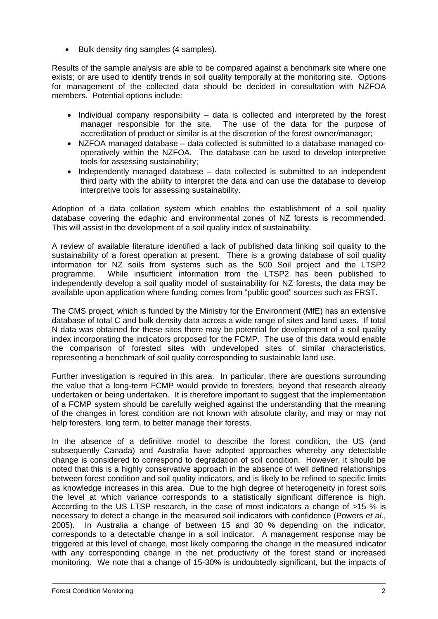• Bulk density ring samples (4 samples).

Results of the sample analysis are able to be compared against a benchmark site where one exists; or are used to identify trends in soil quality temporally at the monitoring site. Options for management of the collected data should be decided in consultation with NZFOA members. Potential options include:

- Individual company responsibility data is collected and interpreted by the forest manager responsible for the site. The use of the data for the purpose of The use of the data for the purpose of accreditation of product or similar is at the discretion of the forest owner/manager;
- NZFOA managed database data collected is submitted to a database managed cooperatively within the NZFOA. The database can be used to develop interpretive tools for assessing sustainability;
- Independently managed database data collected is submitted to an independent third party with the ability to interpret the data and can use the database to develop interpretive tools for assessing sustainability.

Adoption of a data collation system which enables the establishment of a soil quality database covering the edaphic and environmental zones of NZ forests is recommended. This will assist in the development of a soil quality index of sustainability.

A review of available literature identified a lack of published data linking soil quality to the sustainability of a forest operation at present. There is a growing database of soil quality information for NZ soils from systems such as the 500 Soil project and the LTSP2 programme. While insufficient information from the LTSP2 has been published to independently develop a soil quality model of sustainability for NZ forests, the data may be available upon application where funding comes from "public good" sources such as FRST.

The CMS project, which is funded by the Ministry for the Environment (MfE) has an extensive database of total C and bulk density data across a wide range of sites and land uses. If total N data was obtained for these sites there may be potential for development of a soil quality index incorporating the indicators proposed for the FCMP. The use of this data would enable the comparison of forested sites with undeveloped sites of similar characteristics, representing a benchmark of soil quality corresponding to sustainable land use.

Further investigation is required in this area. In particular, there are questions surrounding the value that a long-term FCMP would provide to foresters, beyond that research already undertaken or being undertaken. It is therefore important to suggest that the implementation of a FCMP system should be carefully weighed against the understanding that the meaning of the changes in forest condition are not known with absolute clarity, and may or may not help foresters, long term, to better manage their forests.

In the absence of a definitive model to describe the forest condition, the US (and subsequently Canada) and Australia have adopted approaches whereby any detectable change is considered to correspond to degradation of soil condition. However, it should be noted that this is a highly conservative approach in the absence of well defined relationships between forest condition and soil quality indicators, and is likely to be refined to specific limits as knowledge increases in this area. Due to the high degree of heterogeneity in forest soils the level at which variance corresponds to a statistically significant difference is high. According to the US LTSP research, in the case of most indicators a change of >15 % is necessary to detect a change in the measured soil indicators with confidence (Powers *et al.*, 2005). In Australia a change of between 15 and 30 % depending on the indicator, corresponds to a detectable change in a soil indicator. A management response may be triggered at this level of change, most likely comparing the change in the measured indicator with any corresponding change in the net productivity of the forest stand or increased monitoring. We note that a change of 15-30% is undoubtedly significant, but the impacts of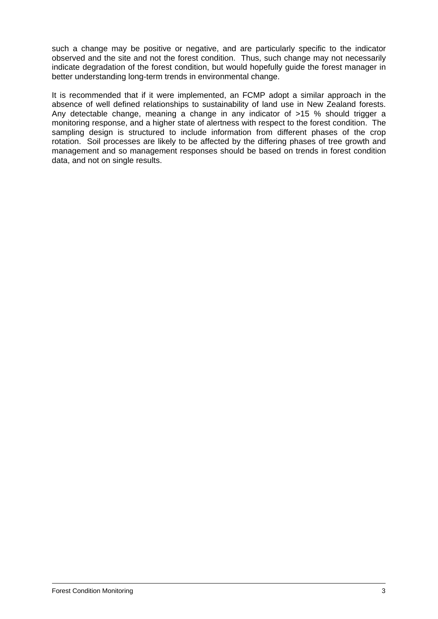such a change may be positive or negative, and are particularly specific to the indicator observed and the site and not the forest condition. Thus, such change may not necessarily indicate degradation of the forest condition, but would hopefully guide the forest manager in better understanding long-term trends in environmental change.

It is recommended that if it were implemented, an FCMP adopt a similar approach in the absence of well defined relationships to sustainability of land use in New Zealand forests. Any detectable change, meaning a change in any indicator of >15 % should trigger a monitoring response, and a higher state of alertness with respect to the forest condition. The sampling design is structured to include information from different phases of the crop rotation. Soil processes are likely to be affected by the differing phases of tree growth and management and so management responses should be based on trends in forest condition data, and not on single results.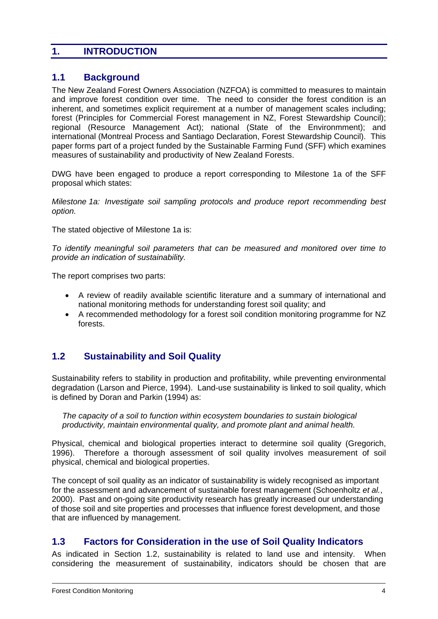## **1. INTRODUCTION**

## **1.1 Background**

The New Zealand Forest Owners Association (NZFOA) is committed to measures to maintain and improve forest condition over time. The need to consider the forest condition is an inherent, and sometimes explicit requirement at a number of management scales including; forest (Principles for Commercial Forest management in NZ, Forest Stewardship Council); regional (Resource Management Act); national (State of the Environmment); and international (Montreal Process and Santiago Declaration, Forest Stewardship Council). This paper forms part of a project funded by the Sustainable Farming Fund (SFF) which examines measures of sustainability and productivity of New Zealand Forests.

DWG have been engaged to produce a report corresponding to Milestone 1a of the SFF proposal which states:

*Milestone 1a: Investigate soil sampling protocols and produce report recommending best option.*

The stated objective of Milestone 1a is:

*To identify meaningful soil parameters that can be measured and monitored over time to provide an indication of sustainability.*

The report comprises two parts:

- A review of readily available scientific literature and a summary of international and national monitoring methods for understanding forest soil quality; and
- A recommended methodology for a forest soil condition monitoring programme for NZ forests.

## **1.2 Sustainability and Soil Quality**

Sustainability refers to stability in production and profitability, while preventing environmental degradation (Larson and Pierce, 1994). Land-use sustainability is linked to soil quality, which is defined by Doran and Parkin (1994) as:

*The capacity of a soil to function within ecosystem boundaries to sustain biological productivity, maintain environmental quality, and promote plant and animal health.* 

Physical, chemical and biological properties interact to determine soil quality (Gregorich, 1996). Therefore a thorough assessment of soil quality involves measurement of soil physical, chemical and biological properties.

The concept of soil quality as an indicator of sustainability is widely recognised as important for the assessment and advancement of sustainable forest management (Schoenholtz *et al.*, 2000). Past and on-going site productivity research has greatly increased our understanding of those soil and site properties and processes that influence forest development, and those that are influenced by management.

#### **1.3 Factors for Consideration in the use of Soil Quality Indicators**

As indicated in Section 1.2, sustainability is related to land use and intensity. When considering the measurement of sustainability, indicators should be chosen that are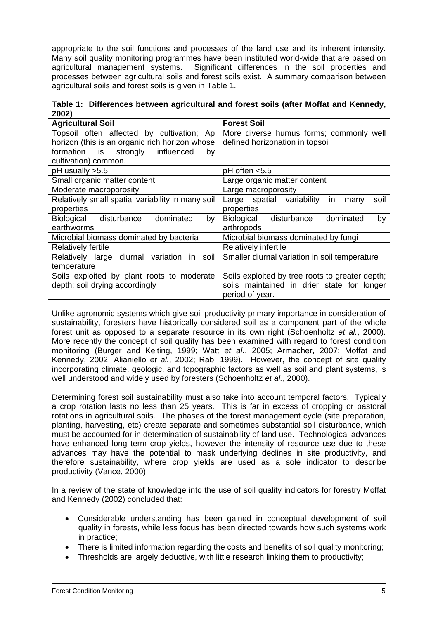appropriate to the soil functions and processes of the land use and its inherent intensity. Many soil quality monitoring programmes have been instituted world-wide that are based on agricultural management systems. Significant differences in the soil properties and processes between agricultural soils and forest soils exist. A summary comparison between agricultural soils and forest soils is given in Table 1.

**Table 1: Differences between agricultural and forest soils (after Moffat and Kennedy, 2002)** 

| <b>Agricultural Soil</b>                          | <b>Forest Soil</b>                               |  |  |  |
|---------------------------------------------------|--------------------------------------------------|--|--|--|
| Topsoil often affected by cultivation; Ap         | More diverse humus forms; commonly well          |  |  |  |
| horizon (this is an organic rich horizon whose    | defined horizonation in topsoil.                 |  |  |  |
| formation is strongly influenced<br>by            |                                                  |  |  |  |
| cultivation) common.                              |                                                  |  |  |  |
| pH usually >5.5                                   | $pH$ often $< 5.5$                               |  |  |  |
| Small organic matter content                      | Large organic matter content                     |  |  |  |
| Moderate macroporosity                            | Large macroporosity                              |  |  |  |
| Relatively small spatial variability in many soil | Large spatial variability<br>soil<br>in.<br>many |  |  |  |
| properties                                        | properties                                       |  |  |  |
| Biological disturbance<br>dominated<br>by         | Biological<br>disturbance<br>dominated<br>by     |  |  |  |
| earthworms                                        | arthropods                                       |  |  |  |
| Microbial biomass dominated by bacteria           | Microbial biomass dominated by fungi             |  |  |  |
| <b>Relatively fertile</b>                         | Relatively infertile                             |  |  |  |
| Relatively large diurnal variation<br>in soil     | Smaller diurnal variation in soil temperature    |  |  |  |
| temperature                                       |                                                  |  |  |  |
| Soils exploited by plant roots to moderate        | Soils exploited by tree roots to greater depth;  |  |  |  |
| depth; soil drying accordingly                    | soils maintained in drier state for longer       |  |  |  |
|                                                   | period of year.                                  |  |  |  |

Unlike agronomic systems which give soil productivity primary importance in consideration of sustainability, foresters have historically considered soil as a component part of the whole forest unit as opposed to a separate resource in its own right (Schoenholtz *et al.*, 2000). More recently the concept of soil quality has been examined with regard to forest condition monitoring (Burger and Kelting, 1999; Watt *et al.*, 2005; Armacher, 2007; Moffat and Kennedy, 2002; Alianiello *et al.*, 2002; Rab, 1999). However, the concept of site quality incorporating climate, geologic, and topographic factors as well as soil and plant systems, is well understood and widely used by foresters (Schoenholtz *et al.*, 2000).

Determining forest soil sustainability must also take into account temporal factors. Typically a crop rotation lasts no less than 25 years. This is far in excess of cropping or pastoral rotations in agricultural soils. The phases of the forest management cycle (site preparation, planting, harvesting, etc) create separate and sometimes substantial soil disturbance, which must be accounted for in determination of sustainability of land use. Technological advances have enhanced long term crop yields, however the intensity of resource use due to these advances may have the potential to mask underlying declines in site productivity, and therefore sustainability, where crop yields are used as a sole indicator to describe productivity (Vance, 2000).

In a review of the state of knowledge into the use of soil quality indicators for forestry Moffat and Kennedy (2002) concluded that:

- Considerable understanding has been gained in conceptual development of soil quality in forests, while less focus has been directed towards how such systems work in practice;
- There is limited information regarding the costs and benefits of soil quality monitoring;
- Thresholds are largely deductive, with little research linking them to productivity;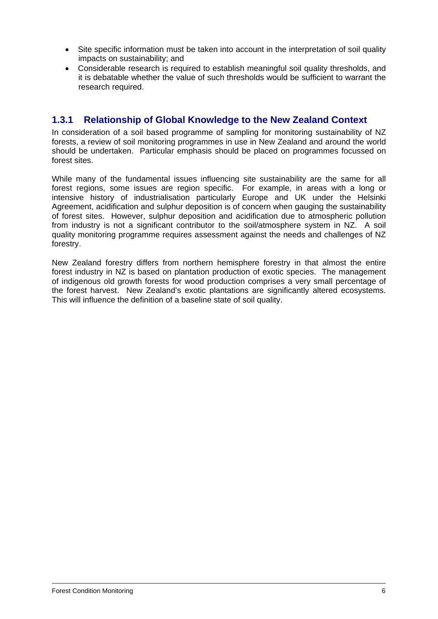- Site specific information must be taken into account in the interpretation of soil quality impacts on sustainability; and
- Considerable research is required to establish meaningful soil quality thresholds, and it is debatable whether the value of such thresholds would be sufficient to warrant the research required.

## **1.3.1 Relationship of Global Knowledge to the New Zealand Context**

In consideration of a soil based programme of sampling for monitoring sustainability of NZ forests, a review of soil monitoring programmes in use in New Zealand and around the world should be undertaken. Particular emphasis should be placed on programmes focussed on forest sites.

While many of the fundamental issues influencing site sustainability are the same for all forest regions, some issues are region specific. For example, in areas with a long or intensive history of industrialisation particularly Europe and UK under the Helsinki Agreement, acidification and sulphur deposition is of concern when gauging the sustainability of forest sites. However, sulphur deposition and acidification due to atmospheric pollution from industry is not a significant contributor to the soil/atmosphere system in NZ. A soil quality monitoring programme requires assessment against the needs and challenges of NZ forestry.

New Zealand forestry differs from northern hemisphere forestry in that almost the entire forest industry in NZ is based on plantation production of exotic species. The management of indigenous old growth forests for wood production comprises a very small percentage of the forest harvest. New Zealand's exotic plantations are significantly altered ecosystems. This will influence the definition of a baseline state of soil quality.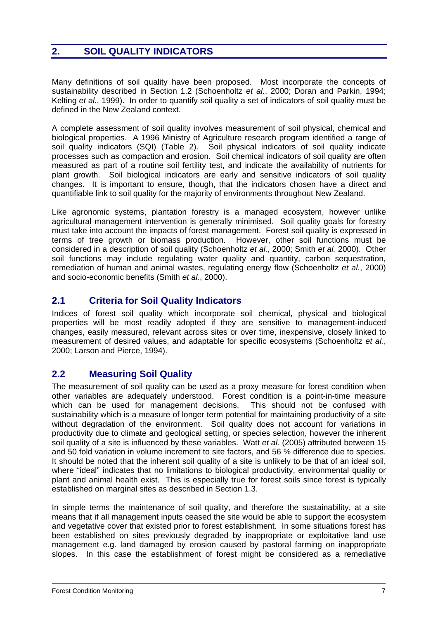## **2. SOIL QUALITY INDICATORS**

Many definitions of soil quality have been proposed. Most incorporate the concepts of sustainability described in Section 1.2 (Schoenholtz *et al.*, 2000; Doran and Parkin, 1994; Kelting *et al.*, 1999). In order to quantify soil quality a set of indicators of soil quality must be defined in the New Zealand context.

A complete assessment of soil quality involves measurement of soil physical, chemical and biological properties. A 1996 Ministry of Agriculture research program identified a range of soil quality indicators (SQI) (Table 2). Soil physical indicators of soil quality indicate processes such as compaction and erosion. Soil chemical indicators of soil quality are often measured as part of a routine soil fertility test, and indicate the availability of nutrients for plant growth. Soil biological indicators are early and sensitive indicators of soil quality changes. It is important to ensure, though, that the indicators chosen have a direct and quantifiable link to soil quality for the majority of environments throughout New Zealand.

Like agronomic systems, plantation forestry is a managed ecosystem, however unlike agricultural management intervention is generally minimised. Soil quality goals for forestry must take into account the impacts of forest management. Forest soil quality is expressed in terms of tree growth or biomass production. However, other soil functions must be considered in a description of soil quality (Schoenholtz *et al.*, 2000; Smith *et al.* 2000). Other soil functions may include regulating water quality and quantity, carbon sequestration, remediation of human and animal wastes, regulating energy flow (Schoenholtz *et al.*, 2000) and socio-economic benefits (Smith *et al.*, 2000).

## **2.1 Criteria for Soil Quality Indicators**

Indices of forest soil quality which incorporate soil chemical, physical and biological properties will be most readily adopted if they are sensitive to management-induced changes, easily measured, relevant across sites or over time, inexpensive, closely linked to measurement of desired values, and adaptable for specific ecosystems (Schoenholtz *et al.*, 2000; Larson and Pierce, 1994).

## **2.2 Measuring Soil Quality**

The measurement of soil quality can be used as a proxy measure for forest condition when other variables are adequately understood. Forest condition is a point-in-time measure which can be used for management decisions. This should not be confused with sustainability which is a measure of longer term potential for maintaining productivity of a site without degradation of the environment. Soil quality does not account for variations in productivity due to climate and geological setting, or species selection, however the inherent soil quality of a site is influenced by these variables. Watt *et al.* (2005) attributed between 15 and 50 fold variation in volume increment to site factors, and 56 % difference due to species. It should be noted that the inherent soil quality of a site is unlikely to be that of an ideal soil, where "ideal" indicates that no limitations to biological productivity, environmental quality or plant and animal health exist. This is especially true for forest soils since forest is typically established on marginal sites as described in Section 1.3.

In simple terms the maintenance of soil quality, and therefore the sustainability, at a site means that if all management inputs ceased the site would be able to support the ecosystem and vegetative cover that existed prior to forest establishment. In some situations forest has been established on sites previously degraded by inappropriate or exploitative land use management e.g. land damaged by erosion caused by pastoral farming on inappropriate slopes. In this case the establishment of forest might be considered as a remediative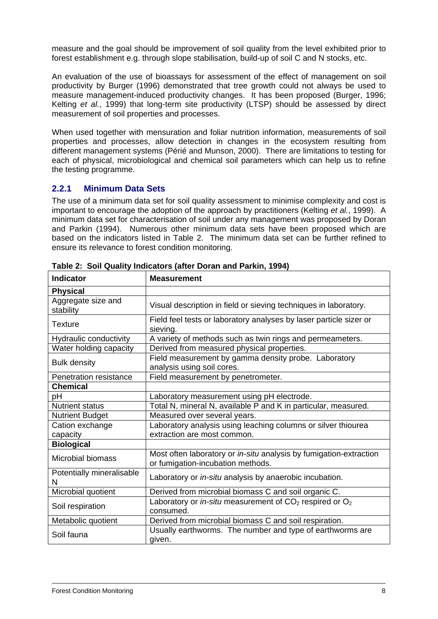measure and the goal should be improvement of soil quality from the level exhibited prior to forest establishment e.g. through slope stabilisation, build-up of soil C and N stocks, etc.

An evaluation of the use of bioassays for assessment of the effect of management on soil productivity by Burger (1996) demonstrated that tree growth could not always be used to measure management-induced productivity changes. It has been proposed (Burger, 1996; Kelting *et al.*, 1999) that long-term site productivity (LTSP) should be assessed by direct measurement of soil properties and processes.

When used together with mensuration and foliar nutrition information, measurements of soil properties and processes, allow detection in changes in the ecosystem resulting from different management systems (Périé and Munson, 2000). There are limitations to testing for each of physical, microbiological and chemical soil parameters which can help us to refine the testing programme.

#### **2.2.1 Minimum Data Sets**

The use of a minimum data set for soil quality assessment to minimise complexity and cost is important to encourage the adoption of the approach by practitioners (Kelting *et al.*, 1999). A minimum data set for characterisation of soil under any management was proposed by Doran and Parkin (1994). Numerous other minimum data sets have been proposed which are based on the indicators listed in Table 2. The minimum data set can be further refined to ensure its relevance to forest condition monitoring.

| <b>Indicator</b>                | <b>Measurement</b>                                                                                      |  |  |
|---------------------------------|---------------------------------------------------------------------------------------------------------|--|--|
| <b>Physical</b>                 |                                                                                                         |  |  |
| Aggregate size and<br>stability | Visual description in field or sieving techniques in laboratory.                                        |  |  |
| <b>Texture</b>                  | Field feel tests or laboratory analyses by laser particle sizer or<br>sieving.                          |  |  |
| <b>Hydraulic conductivity</b>   | A variety of methods such as twin rings and permeameters.                                               |  |  |
| Water holding capacity          | Derived from measured physical properties.                                                              |  |  |
| <b>Bulk density</b>             | Field measurement by gamma density probe. Laboratory<br>analysis using soil cores.                      |  |  |
| Penetration resistance          | Field measurement by penetrometer.                                                                      |  |  |
| <b>Chemical</b>                 |                                                                                                         |  |  |
| рH                              | Laboratory measurement using pH electrode.                                                              |  |  |
| <b>Nutrient status</b>          | Total N, mineral N, available P and K in particular, measured.                                          |  |  |
| <b>Nutrient Budget</b>          | Measured over several years.                                                                            |  |  |
| Cation exchange                 | Laboratory analysis using leaching columns or silver thiourea                                           |  |  |
| capacity                        | extraction are most common.                                                                             |  |  |
| <b>Biological</b>               |                                                                                                         |  |  |
| Microbial biomass               | Most often laboratory or in-situ analysis by fumigation-extraction<br>or fumigation-incubation methods. |  |  |
| Potentially mineralisable<br>N  | Laboratory or in-situ analysis by anaerobic incubation.                                                 |  |  |
| Microbial quotient              | Derived from microbial biomass C and soil organic C.                                                    |  |  |
| Soil respiration                | Laboratory or in-situ measurement of $CO2$ respired or $O2$<br>consumed.                                |  |  |
| Metabolic quotient              | Derived from microbial biomass C and soil respiration.                                                  |  |  |
| Soil fauna                      | Usually earthworms. The number and type of earthworms are<br>given.                                     |  |  |

**Table 2: Soil Quality Indicators (after Doran and Parkin, 1994)**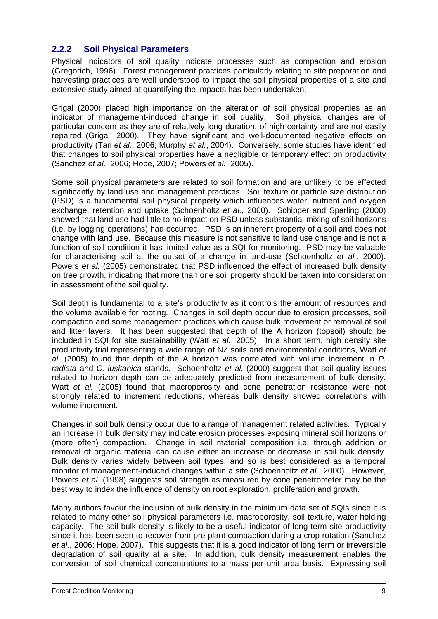#### **2.2.2 Soil Physical Parameters**

Physical indicators of soil quality indicate processes such as compaction and erosion (Gregorich, 1996). Forest management practices particularly relating to site preparation and harvesting practices are well understood to impact the soil physical properties of a site and extensive study aimed at quantifying the impacts has been undertaken.

Grigal (2000) placed high importance on the alteration of soil physical properties as an indicator of management-induced change in soil quality. Soil physical changes are of particular concern as they are of relatively long duration, of high certainty and are not easily repaired (Grigal, 2000). They have significant and well-documented negative effects on productivity (Tan *et al.*, 2006; Murphy *et al.*, 2004). Conversely, some studies have identified that changes to soil physical properties have a negligible or temporary effect on productivity (Sanchez *et al.*, 2006; Hope, 2007; Powers *et al.*, 2005).

Some soil physical parameters are related to soil formation and are unlikely to be effected significantly by land use and management practices. Soil texture or particle size distribution (PSD) is a fundamental soil physical property which influences water, nutrient and oxygen exchange, retention and uptake (Schoenholtz *et al.*, 2000). Schipper and Sparling (2000) showed that land use had little to no impact on PSD unless substantial mixing of soil horizons (i.e. by logging operations) had occurred. PSD is an inherent property of a soil and does not change with land use. Because this measure is not sensitive to land use change and is not a function of soil condition it has limited value as a SQI for monitoring. PSD may be valuable for characterising soil at the outset of a change in land-use (Schoenholtz *et al.*, 2000). Powers *et al.* (2005) demonstrated that PSD influenced the effect of increased bulk density on tree growth, indicating that more than one soil property should be taken into consideration in assessment of the soil quality.

Soil depth is fundamental to a site's productivity as it controls the amount of resources and the volume available for rooting. Changes in soil depth occur due to erosion processes, soil compaction and some management practices which cause bulk movement or removal of soil and litter layers. It has been suggested that depth of the A horizon (topsoil) should be included in SQI for site sustainability (Watt *et al.*, 2005). In a short term, high density site productivity trial representing a wide range of NZ soils and environmental conditions, Watt *et al.* (2005) found that depth of the A horizon was correlated with volume increment in *P. radiata* and *C. lusitanica* stands. Schoenholtz *et al.* (2000) suggest that soil quality issues related to horizon depth can be adequately predicted from measurement of bulk density. Watt *et al.* (2005) found that macroporosity and cone penetration resistance were not strongly related to increment reductions, whereas bulk density showed correlations with volume increment.

Changes in soil bulk density occur due to a range of management related activities. Typically an increase in bulk density may indicate erosion processes exposing mineral soil horizons or (more often) compaction. Change in soil material composition i.e. through addition or removal of organic material can cause either an increase or decrease in soil bulk density. Bulk density varies widely between soil types, and so is best considered as a temporal monitor of management-induced changes within a site (Schoenholtz *et al.*, 2000). However, Powers *et al.* (1998) suggests soil strength as measured by cone penetrometer may be the best way to index the influence of density on root exploration, proliferation and growth.

Many authors favour the inclusion of bulk density in the minimum data set of SQIs since it is related to many other soil physical parameters i.e. macroporosity, soil texture, water holding capacity. The soil bulk density is likely to be a useful indicator of long term site productivity since it has been seen to recover from pre-plant compaction during a crop rotation (Sanchez *et al.*, 2006; Hope, 2007). This suggests that it is a good indicator of long term or irreversible degradation of soil quality at a site. In addition, bulk density measurement enables the conversion of soil chemical concentrations to a mass per unit area basis. Expressing soil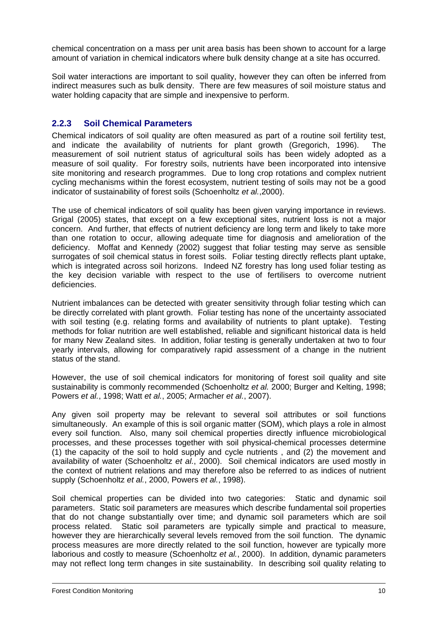chemical concentration on a mass per unit area basis has been shown to account for a large amount of variation in chemical indicators where bulk density change at a site has occurred.

Soil water interactions are important to soil quality, however they can often be inferred from indirect measures such as bulk density. There are few measures of soil moisture status and water holding capacity that are simple and inexpensive to perform.

#### **2.2.3 Soil Chemical Parameters**

Chemical indicators of soil quality are often measured as part of a routine soil fertility test, and indicate the availability of nutrients for plant growth (Gregorich, 1996). The measurement of soil nutrient status of agricultural soils has been widely adopted as a measure of soil quality. For forestry soils, nutrients have been incorporated into intensive site monitoring and research programmes. Due to long crop rotations and complex nutrient cycling mechanisms within the forest ecosystem, nutrient testing of soils may not be a good indicator of sustainability of forest soils (Schoenholtz *et al.*,2000).

The use of chemical indicators of soil quality has been given varying importance in reviews. Grigal (2005) states, that except on a few exceptional sites, nutrient loss is not a major concern. And further, that effects of nutrient deficiency are long term and likely to take more than one rotation to occur, allowing adequate time for diagnosis and amelioration of the deficiency. Moffat and Kennedy (2002) suggest that foliar testing may serve as sensible surrogates of soil chemical status in forest soils. Foliar testing directly reflects plant uptake, which is integrated across soil horizons. Indeed NZ forestry has long used foliar testing as the key decision variable with respect to the use of fertilisers to overcome nutrient deficiencies.

Nutrient imbalances can be detected with greater sensitivity through foliar testing which can be directly correlated with plant growth. Foliar testing has none of the uncertainty associated with soil testing (e.g. relating forms and availability of nutrients to plant uptake). Testing methods for foliar nutrition are well established, reliable and significant historical data is held for many New Zealand sites. In addition, foliar testing is generally undertaken at two to four yearly intervals, allowing for comparatively rapid assessment of a change in the nutrient status of the stand.

However, the use of soil chemical indicators for monitoring of forest soil quality and site sustainability is commonly recommended (Schoenholtz *et al.* 2000; Burger and Kelting, 1998; Powers *et al.*, 1998; Watt *et al.*, 2005; Armacher *et al.*, 2007).

Any given soil property may be relevant to several soil attributes or soil functions simultaneously. An example of this is soil organic matter (SOM), which plays a role in almost every soil function. Also, many soil chemical properties directly influence microbiological processes, and these processes together with soil physical-chemical processes determine (1) the capacity of the soil to hold supply and cycle nutrients , and (2) the movement and availability of water (Schoenholtz *et al.*, 2000). Soil chemical indicators are used mostly in the context of nutrient relations and may therefore also be referred to as indices of nutrient supply (Schoenholtz *et al.*, 2000, Powers *et al.*, 1998).

Soil chemical properties can be divided into two categories: Static and dynamic soil parameters. Static soil parameters are measures which describe fundamental soil properties that do not change substantially over time; and dynamic soil parameters which are soil process related. Static soil parameters are typically simple and practical to measure, however they are hierarchically several levels removed from the soil function. The dynamic process measures are more directly related to the soil function, however are typically more laborious and costly to measure (Schoenholtz *et al.*, 2000). In addition, dynamic parameters may not reflect long term changes in site sustainability. In describing soil quality relating to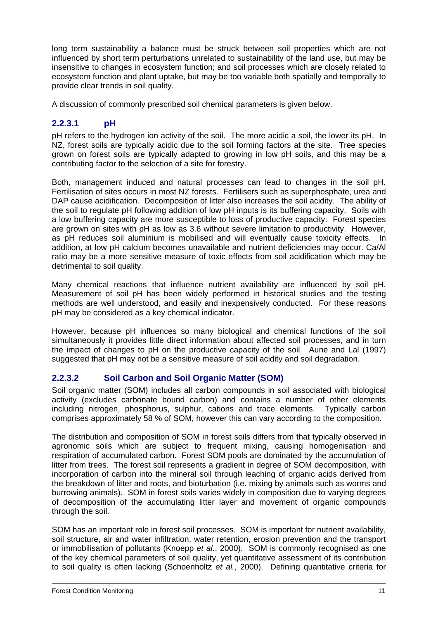long term sustainability a balance must be struck between soil properties which are not influenced by short term perturbations unrelated to sustainability of the land use, but may be insensitive to changes in ecosystem function; and soil processes which are closely related to ecosystem function and plant uptake, but may be too variable both spatially and temporally to provide clear trends in soil quality.

A discussion of commonly prescribed soil chemical parameters is given below.

## **2.2.3.1 pH**

pH refers to the hydrogen ion activity of the soil. The more acidic a soil, the lower its pH. In NZ, forest soils are typically acidic due to the soil forming factors at the site. Tree species grown on forest soils are typically adapted to growing in low pH soils, and this may be a contributing factor to the selection of a site for forestry.

Both, management induced and natural processes can lead to changes in the soil pH. Fertilisation of sites occurs in most NZ forests. Fertilisers such as superphosphate, urea and DAP cause acidification. Decomposition of litter also increases the soil acidity. The ability of the soil to regulate pH following addition of low pH inputs is its buffering capacity. Soils with a low buffering capacity are more susceptible to loss of productive capacity. Forest species are grown on sites with pH as low as 3.6 without severe limitation to productivity. However, as pH reduces soil aluminium is mobilised and will eventually cause toxicity effects. In addition, at low pH calcium becomes unavailable and nutrient deficiencies may occur. Ca/Al ratio may be a more sensitive measure of toxic effects from soil acidification which may be detrimental to soil quality.

Many chemical reactions that influence nutrient availability are influenced by soil pH. Measurement of soil pH has been widely performed in historical studies and the testing methods are well understood, and easily and inexpensively conducted. For these reasons pH may be considered as a key chemical indicator.

However, because pH influences so many biological and chemical functions of the soil simultaneously it provides little direct information about affected soil processes, and in turn the impact of changes to pH on the productive capacity of the soil. Aune and Lal (1997) suggested that pH may not be a sensitive measure of soil acidity and soil degradation.

#### **2.2.3.2 Soil Carbon and Soil Organic Matter (SOM)**

Soil organic matter (SOM) includes all carbon compounds in soil associated with biological activity (excludes carbonate bound carbon) and contains a number of other elements including nitrogen, phosphorus, sulphur, cations and trace elements. Typically carbon comprises approximately 58 % of SOM, however this can vary according to the composition.

The distribution and composition of SOM in forest soils differs from that typically observed in agronomic soils which are subject to frequent mixing, causing homogenisation and respiration of accumulated carbon. Forest SOM pools are dominated by the accumulation of litter from trees. The forest soil represents a gradient in degree of SOM decomposition, with incorporation of carbon into the mineral soil through leaching of organic acids derived from the breakdown of litter and roots, and bioturbation (i.e. mixing by animals such as worms and burrowing animals). SOM in forest soils varies widely in composition due to varying degrees of decomposition of the accumulating litter layer and movement of organic compounds through the soil.

SOM has an important role in forest soil processes. SOM is important for nutrient availability, soil structure, air and water infiltration, water retention, erosion prevention and the transport or immobilisation of pollutants (Knoepp *et al.*, 2000). SOM is commonly recognised as one of the key chemical parameters of soil quality, yet quantitative assessment of its contribution to soil quality is often lacking (Schoenholtz *et al.*, 2000). Defining quantitative criteria for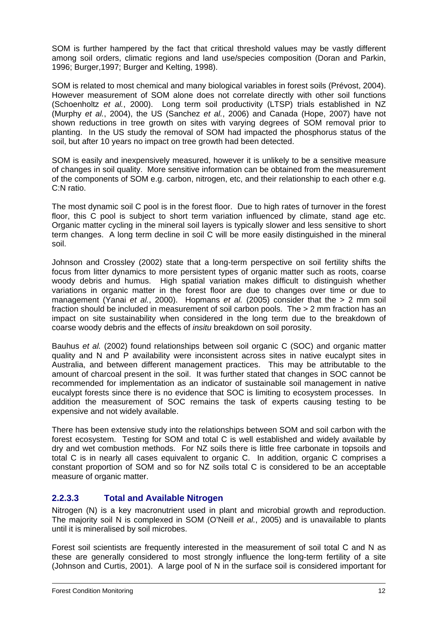SOM is further hampered by the fact that critical threshold values may be vastly different among soil orders, climatic regions and land use/species composition (Doran and Parkin, 1996; Burger,1997; Burger and Kelting, 1998).

SOM is related to most chemical and many biological variables in forest soils (Prévost, 2004). However measurement of SOM alone does not correlate directly with other soil functions (Schoenholtz *et al.*, 2000). Long term soil productivity (LTSP) trials established in NZ (Murphy *et al.*, 2004), the US (Sanchez *et al.*, 2006) and Canada (Hope, 2007) have not shown reductions in tree growth on sites with varying degrees of SOM removal prior to planting. In the US study the removal of SOM had impacted the phosphorus status of the soil, but after 10 years no impact on tree growth had been detected.

SOM is easily and inexpensively measured, however it is unlikely to be a sensitive measure of changes in soil quality. More sensitive information can be obtained from the measurement of the components of SOM e.g. carbon, nitrogen, etc, and their relationship to each other e.g. C:N ratio.

The most dynamic soil C pool is in the forest floor. Due to high rates of turnover in the forest floor, this C pool is subject to short term variation influenced by climate, stand age etc. Organic matter cycling in the mineral soil layers is typically slower and less sensitive to short term changes. A long term decline in soil C will be more easily distinguished in the mineral soil.

Johnson and Crossley (2002) state that a long-term perspective on soil fertility shifts the focus from litter dynamics to more persistent types of organic matter such as roots, coarse woody debris and humus. High spatial variation makes difficult to distinguish whether variations in organic matter in the forest floor are due to changes over time or due to management (Yanai *et al.*, 2000). Hopmans *et al.* (2005) consider that the > 2 mm soil fraction should be included in measurement of soil carbon pools. The > 2 mm fraction has an impact on site sustainability when considered in the long term due to the breakdown of coarse woody debris and the effects of *insitu* breakdown on soil porosity.

Bauhus *et al.* (2002) found relationships between soil organic C (SOC) and organic matter quality and N and P availability were inconsistent across sites in native eucalypt sites in Australia, and between different management practices. This may be attributable to the amount of charcoal present in the soil. It was further stated that changes in SOC cannot be recommended for implementation as an indicator of sustainable soil management in native eucalypt forests since there is no evidence that SOC is limiting to ecosystem processes. In addition the measurement of SOC remains the task of experts causing testing to be expensive and not widely available.

There has been extensive study into the relationships between SOM and soil carbon with the forest ecosystem. Testing for SOM and total C is well established and widely available by dry and wet combustion methods. For NZ soils there is little free carbonate in topsoils and total C is in nearly all cases equivalent to organic C. In addition, organic C comprises a constant proportion of SOM and so for NZ soils total C is considered to be an acceptable measure of organic matter.

#### **2.2.3.3 Total and Available Nitrogen**

Nitrogen (N) is a key macronutrient used in plant and microbial growth and reproduction. The majority soil N is complexed in SOM (O'Neill *et al.*, 2005) and is unavailable to plants until it is mineralised by soil microbes.

Forest soil scientists are frequently interested in the measurement of soil total C and N as these are generally considered to most strongly influence the long-term fertility of a site (Johnson and Curtis, 2001). A large pool of N in the surface soil is considered important for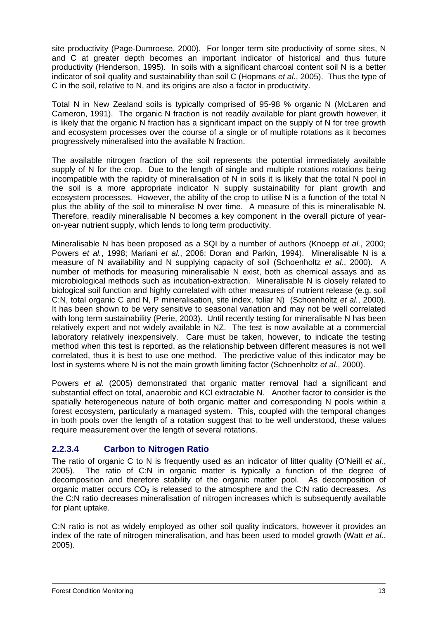site productivity (Page-Dumroese, 2000). For longer term site productivity of some sites, N and C at greater depth becomes an important indicator of historical and thus future productivity (Henderson, 1995). In soils with a significant charcoal content soil N is a better indicator of soil quality and sustainability than soil C (Hopmans *et al.*, 2005). Thus the type of C in the soil, relative to N, and its origins are also a factor in productivity.

Total N in New Zealand soils is typically comprised of 95-98 % organic N (McLaren and Cameron, 1991). The organic N fraction is not readily available for plant growth however, it is likely that the organic N fraction has a significant impact on the supply of N for tree growth and ecosystem processes over the course of a single or of multiple rotations as it becomes progressively mineralised into the available N fraction.

The available nitrogen fraction of the soil represents the potential immediately available supply of N for the crop. Due to the length of single and multiple rotations rotations being incompatible with the rapidity of mineralisation of N in soils it is likely that the total N pool in the soil is a more appropriate indicator N supply sustainability for plant growth and ecosystem processes. However, the ability of the crop to utilise N is a function of the total N plus the ability of the soil to mineralise N over time. A measure of this is mineralisable N. Therefore, readily mineralisable N becomes a key component in the overall picture of yearon-year nutrient supply, which lends to long term productivity.

Mineralisable N has been proposed as a SQI by a number of authors (Knoepp *et al.*, 2000; Powers *et al.*, 1998; Mariani *et al.*, 2006; Doran and Parkin, 1994). Mineralisable N is a measure of N availability and N supplying capacity of soil (Schoenholtz *et al.*, 2000). A number of methods for measuring mineralisable N exist, both as chemical assays and as microbiological methods such as incubation-extraction. Mineralisable N is closely related to biological soil function and highly correlated with other measures of nutrient release (e.g. soil C:N, total organic C and N, P mineralisation, site index, foliar N) (Schoenholtz *et al.*, 2000). It has been shown to be very sensitive to seasonal variation and may not be well correlated with long term sustainability (Perie, 2003). Until recently testing for mineralisable N has been relatively expert and not widely available in NZ. The test is now available at a commercial laboratory relatively inexpensively. Care must be taken, however, to indicate the testing method when this test is reported, as the relationship between different measures is not well correlated, thus it is best to use one method. The predictive value of this indicator may be lost in systems where N is not the main growth limiting factor (Schoenholtz *et al.*, 2000).

Powers *et al.* (2005) demonstrated that organic matter removal had a significant and substantial effect on total, anaerobic and KCl extractable N. Another factor to consider is the spatially heterogeneous nature of both organic matter and corresponding N pools within a forest ecosystem, particularly a managed system. This, coupled with the temporal changes in both pools over the length of a rotation suggest that to be well understood, these values require measurement over the length of several rotations.

## **2.2.3.4 Carbon to Nitrogen Ratio**

The ratio of organic C to N is frequently used as an indicator of litter quality (O'Neill *et al.*, 2005). The ratio of C:N in organic matter is typically a function of the degree of decomposition and therefore stability of the organic matter pool. As decomposition of organic matter occurs  $CO<sub>2</sub>$  is released to the atmosphere and the C:N ratio decreases. As the C:N ratio decreases mineralisation of nitrogen increases which is subsequently available for plant uptake.

C:N ratio is not as widely employed as other soil quality indicators, however it provides an index of the rate of nitrogen mineralisation, and has been used to model growth (Watt *et al.*, 2005).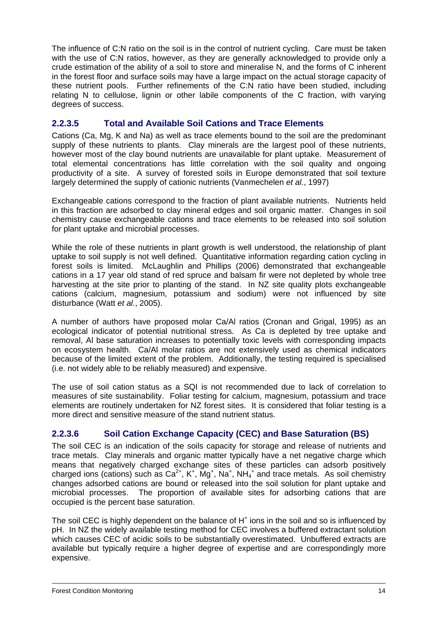The influence of C:N ratio on the soil is in the control of nutrient cycling. Care must be taken with the use of C:N ratios, however, as they are generally acknowledged to provide only a crude estimation of the ability of a soil to store and mineralise N, and the forms of C inherent in the forest floor and surface soils may have a large impact on the actual storage capacity of these nutrient pools. Further refinements of the C:N ratio have been studied, including relating N to cellulose, lignin or other labile components of the C fraction, with varying degrees of success.

#### **2.2.3.5 Total and Available Soil Cations and Trace Elements**

Cations (Ca, Mg, K and Na) as well as trace elements bound to the soil are the predominant supply of these nutrients to plants. Clay minerals are the largest pool of these nutrients, however most of the clay bound nutrients are unavailable for plant uptake. Measurement of total elemental concentrations has little correlation with the soil quality and ongoing productivity of a site. A survey of forested soils in Europe demonstrated that soil texture largely determined the supply of cationic nutrients (Vanmechelen *et al.*, 1997)

Exchangeable cations correspond to the fraction of plant available nutrients. Nutrients held in this fraction are adsorbed to clay mineral edges and soil organic matter. Changes in soil chemistry cause exchangeable cations and trace elements to be released into soil solution for plant uptake and microbial processes.

While the role of these nutrients in plant growth is well understood, the relationship of plant uptake to soil supply is not well defined. Quantitative information regarding cation cycling in forest soils is limited. McLaughlin and Phillips (2006) demonstrated that exchangeable cations in a 17 year old stand of red spruce and balsam fir were not depleted by whole tree harvesting at the site prior to planting of the stand. In NZ site quality plots exchangeable cations (calcium, magnesium, potassium and sodium) were not influenced by site disturbance (Watt *et al.*, 2005).

A number of authors have proposed molar Ca/Al ratios (Cronan and Grigal, 1995) as an ecological indicator of potential nutritional stress. As Ca is depleted by tree uptake and removal, Al base saturation increases to potentially toxic levels with corresponding impacts on ecosystem health. Ca/Al molar ratios are not extensively used as chemical indicators because of the limited extent of the problem. Additionally, the testing required is specialised (i.e. not widely able to be reliably measured) and expensive.

The use of soil cation status as a SQI is not recommended due to lack of correlation to measures of site sustainability. Foliar testing for calcium, magnesium, potassium and trace elements are routinely undertaken for NZ forest sites. It is considered that foliar testing is a more direct and sensitive measure of the stand nutrient status.

#### **2.2.3.6 Soil Cation Exchange Capacity (CEC) and Base Saturation (BS)**

The soil CEC is an indication of the soils capacity for storage and release of nutrients and trace metals. Clay minerals and organic matter typically have a net negative charge which means that negatively charged exchange sites of these particles can adsorb positively charged ions (cations) such as  $Ca^{2+}$ , K<sup>+</sup>, Mg<sup>+</sup>, Na<sup>+</sup>, NH<sub>4</sub><sup>+</sup> and trace metals. As soil chemistry changes adsorbed cations are bound or released into the soil solution for plant uptake and microbial processes. The proportion of available sites for adsorbing cations that are occupied is the percent base saturation.

The soil CEC is highly dependent on the balance of  $H<sup>+</sup>$  ions in the soil and so is influenced by pH. In NZ the widely available testing method for CEC involves a buffered extractant solution which causes CEC of acidic soils to be substantially overestimated. Unbuffered extracts are available but typically require a higher degree of expertise and are correspondingly more expensive.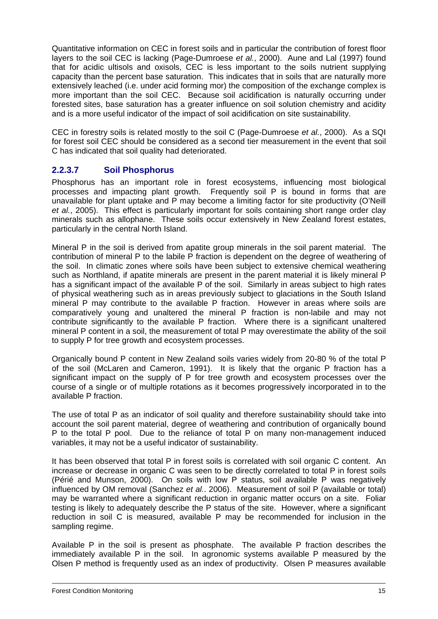Quantitative information on CEC in forest soils and in particular the contribution of forest floor layers to the soil CEC is lacking (Page-Dumroese *et al.*, 2000). Aune and Lal (1997) found that for acidic ultisols and oxisols, CEC is less important to the soils nutrient supplying capacity than the percent base saturation. This indicates that in soils that are naturally more extensively leached (i.e. under acid forming mor) the composition of the exchange complex is more important than the soil CEC. Because soil acidification is naturally occurring under forested sites, base saturation has a greater influence on soil solution chemistry and acidity and is a more useful indicator of the impact of soil acidification on site sustainability.

CEC in forestry soils is related mostly to the soil C (Page-Dumroese *et al.*, 2000). As a SQI for forest soil CEC should be considered as a second tier measurement in the event that soil C has indicated that soil quality had deteriorated.

#### **2.2.3.7 Soil Phosphorus**

Phosphorus has an important role in forest ecosystems, influencing most biological processes and impacting plant growth. Frequently soil P is bound in forms that are unavailable for plant uptake and P may become a limiting factor for site productivity (O'Neill *et al.*, 2005). This effect is particularly important for soils containing short range order clay minerals such as allophane. These soils occur extensively in New Zealand forest estates, particularly in the central North Island.

Mineral P in the soil is derived from apatite group minerals in the soil parent material. The contribution of mineral P to the labile P fraction is dependent on the degree of weathering of the soil. In climatic zones where soils have been subject to extensive chemical weathering such as Northland, if apatite minerals are present in the parent material it is likely mineral P has a significant impact of the available P of the soil. Similarly in areas subject to high rates of physical weathering such as in areas previously subject to glaciations in the South Island mineral P may contribute to the available P fraction. However in areas where soils are comparatively young and unaltered the mineral P fraction is non-labile and may not contribute significantly to the available P fraction. Where there is a significant unaltered mineral P content in a soil, the measurement of total P may overestimate the ability of the soil to supply P for tree growth and ecosystem processes.

Organically bound P content in New Zealand soils varies widely from 20-80 % of the total P of the soil (McLaren and Cameron, 1991). It is likely that the organic P fraction has a significant impact on the supply of P for tree growth and ecosystem processes over the course of a single or of multiple rotations as it becomes progressively incorporated in to the available P fraction.

The use of total P as an indicator of soil quality and therefore sustainability should take into account the soil parent material, degree of weathering and contribution of organically bound P to the total P pool. Due to the reliance of total P on many non-management induced variables, it may not be a useful indicator of sustainability.

It has been observed that total P in forest soils is correlated with soil organic C content. An increase or decrease in organic C was seen to be directly correlated to total P in forest soils (Périé and Munson, 2000). On soils with low P status, soil available P was negatively influenced by OM removal (Sanchez *et al.*. 2006). Measurement of soil P (available or total) may be warranted where a significant reduction in organic matter occurs on a site. Foliar testing is likely to adequately describe the P status of the site. However, where a significant reduction in soil C is measured, available P may be recommended for inclusion in the sampling regime.

Available P in the soil is present as phosphate. The available P fraction describes the immediately available P in the soil. In agronomic systems available P measured by the Olsen P method is frequently used as an index of productivity. Olsen P measures available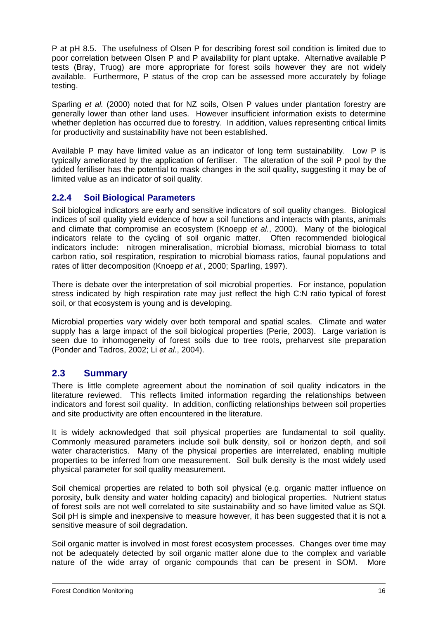P at pH 8.5. The usefulness of Olsen P for describing forest soil condition is limited due to poor correlation between Olsen P and P availability for plant uptake. Alternative available P tests (Bray, Truog) are more appropriate for forest soils however they are not widely available. Furthermore, P status of the crop can be assessed more accurately by foliage testing.

Sparling *et al.* (2000) noted that for NZ soils, Olsen P values under plantation forestry are generally lower than other land uses. However insufficient information exists to determine whether depletion has occurred due to forestry. In addition, values representing critical limits for productivity and sustainability have not been established.

Available P may have limited value as an indicator of long term sustainability. Low P is typically ameliorated by the application of fertiliser. The alteration of the soil P pool by the added fertiliser has the potential to mask changes in the soil quality, suggesting it may be of limited value as an indicator of soil quality.

## **2.2.4 Soil Biological Parameters**

Soil biological indicators are early and sensitive indicators of soil quality changes. Biological indices of soil quality yield evidence of how a soil functions and interacts with plants, animals and climate that compromise an ecosystem (Knoepp *et al.*, 2000). Many of the biological indicators relate to the cycling of soil organic matter. Often recommended biological indicators include: nitrogen mineralisation, microbial biomass, microbial biomass to total carbon ratio, soil respiration, respiration to microbial biomass ratios, faunal populations and rates of litter decomposition (Knoepp *et al.*, 2000; Sparling, 1997).

There is debate over the interpretation of soil microbial properties. For instance, population stress indicated by high respiration rate may just reflect the high C:N ratio typical of forest soil, or that ecosystem is young and is developing.

Microbial properties vary widely over both temporal and spatial scales. Climate and water supply has a large impact of the soil biological properties (Perie, 2003). Large variation is seen due to inhomogeneity of forest soils due to tree roots, preharvest site preparation (Ponder and Tadros, 2002; Li *et al.*, 2004).

## **2.3 Summary**

There is little complete agreement about the nomination of soil quality indicators in the literature reviewed. This reflects limited information regarding the relationships between indicators and forest soil quality. In addition, conflicting relationships between soil properties and site productivity are often encountered in the literature.

It is widely acknowledged that soil physical properties are fundamental to soil quality. Commonly measured parameters include soil bulk density, soil or horizon depth, and soil water characteristics. Many of the physical properties are interrelated, enabling multiple properties to be inferred from one measurement. Soil bulk density is the most widely used physical parameter for soil quality measurement.

Soil chemical properties are related to both soil physical (e.g. organic matter influence on porosity, bulk density and water holding capacity) and biological properties. Nutrient status of forest soils are not well correlated to site sustainability and so have limited value as SQI. Soil pH is simple and inexpensive to measure however, it has been suggested that it is not a sensitive measure of soil degradation.

Soil organic matter is involved in most forest ecosystem processes. Changes over time may not be adequately detected by soil organic matter alone due to the complex and variable nature of the wide array of organic compounds that can be present in SOM. More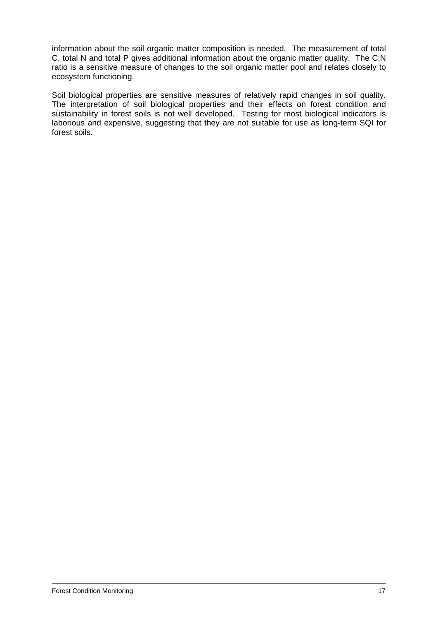information about the soil organic matter composition is needed. The measurement of total C, total N and total P gives additional information about the organic matter quality. The C:N ratio is a sensitive measure of changes to the soil organic matter pool and relates closely to ecosystem functioning.

Soil biological properties are sensitive measures of relatively rapid changes in soil quality. The interpretation of soil biological properties and their effects on forest condition and sustainability in forest soils is not well developed. Testing for most biological indicators is laborious and expensive, suggesting that they are not suitable for use as long-term SQI for forest soils.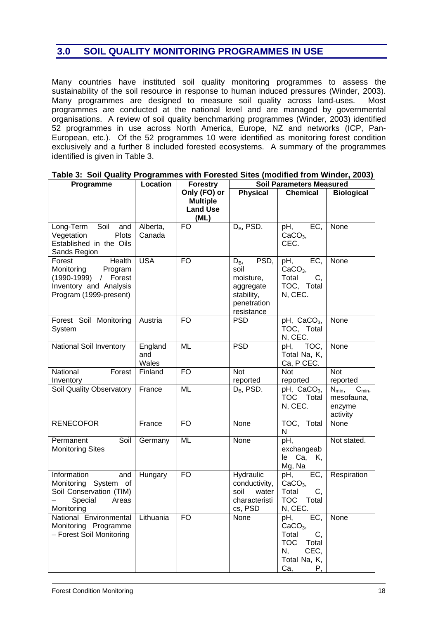## **3.0 SOIL QUALITY MONITORING PROGRAMMES IN USE**

Many countries have instituted soil quality monitoring programmes to assess the sustainability of the soil resource in response to human induced pressures (Winder, 2003). Many programmes are designed to measure soil quality across land-uses. Most programmes are conducted at the national level and are managed by governmental organisations. A review of soil quality benchmarking programmes (Winder, 2003) identified 52 programmes in use across North America, Europe, NZ and networks (ICP, Pan-European, etc.). Of the 52 programmes 10 were identified as monitoring forest condition exclusively and a further 8 included forested ecosystems. A summary of the programmes identified is given in Table 3.

| Programme                                                                                                                    | Location                | <b>Forestry</b>                                            | <b>Soil Parameters Measured</b>                                                              |                                                                                                          |                                                            |
|------------------------------------------------------------------------------------------------------------------------------|-------------------------|------------------------------------------------------------|----------------------------------------------------------------------------------------------|----------------------------------------------------------------------------------------------------------|------------------------------------------------------------|
|                                                                                                                              |                         | Only (FO) or<br><b>Multiple</b><br><b>Land Use</b><br>(ML) | <b>Physical</b>                                                                              | <b>Chemical</b>                                                                                          | <b>Biological</b>                                          |
| Long-Term Soil and<br>Plots<br>Vegetation<br>Established in the Oils<br>Sands Region                                         | Alberta,<br>Canada      | <b>FO</b>                                                  | $D_B$ , PSD.                                                                                 | pH,<br>EC,<br>$CaCO3$ ,<br>CEC.                                                                          | None                                                       |
| <b>Health</b><br>Forest<br>Monitoring<br>Program<br>(1990-1999) / Forest<br>Inventory and Analysis<br>Program (1999-present) | <b>USA</b>              | <b>FO</b>                                                  | PSD,<br>$D_{B}$<br>soil<br>moisture,<br>aggregate<br>stability,<br>penetration<br>resistance | EC,<br>pH,<br>$CaCO3$ ,<br>Total<br>C,<br>TOC, Total<br>N, CEC.                                          | None                                                       |
| Forest Soil Monitoring<br>System                                                                                             | Austria                 | <b>FO</b>                                                  | <b>PSD</b>                                                                                   | pH, CaCO <sub>3</sub> ,<br>TOC, Total<br>N, CEC.                                                         | None                                                       |
| National Soil Inventory                                                                                                      | England<br>and<br>Wales | ML                                                         | <b>PSD</b>                                                                                   | pH, TOC,<br>Total Na, K,<br>Ca, P CEC.                                                                   | None                                                       |
| National<br>Forest<br>Inventory                                                                                              | Finland                 | <b>FO</b>                                                  | <b>Not</b><br>reported                                                                       | <b>Not</b><br>reported                                                                                   | <b>Not</b><br>reported                                     |
| Soil Quality Observatory                                                                                                     | France                  | ML                                                         | $D_B$ , PSD.                                                                                 | pH, $CaCO3$ ,<br>TOC Total<br>N, CEC.                                                                    | $N_{min}$<br>$C_{min}$<br>mesofauna,<br>enzyme<br>activity |
| <b>RENECOFOR</b>                                                                                                             | France                  | <b>FO</b>                                                  | None                                                                                         | TOC, Total<br>N                                                                                          | None                                                       |
| Permanent<br>Soil<br><b>Monitoring Sites</b>                                                                                 | Germany                 | ML                                                         | None                                                                                         | pH,<br>exchangeab<br>Ca, K,<br>le<br>Mg, Na                                                              | Not stated.                                                |
| Information<br>and<br>Monitoring System of<br>Soil Conservation (TIM)<br>Special<br>Areas<br>Monitoring                      | Hungary                 | <b>FO</b>                                                  | Hydraulic<br>conductivity,<br>soil<br>water<br>characteristi<br>cs, PSD                      | EC,<br>рH,<br>$CaCO3$ ,<br>Total<br>C,<br>TOC Total<br>N, CEC.                                           | Respiration                                                |
| National Environmental<br>Monitoring Programme<br>- Forest Soil Monitoring                                                   | Lithuania               | <b>FO</b>                                                  | None                                                                                         | EC,<br>pH,<br>$CaCO3$ ,<br>Total<br>C,<br><b>TOC</b><br>Total<br>N,<br>CEC,<br>Total Na, K,<br>Ca,<br>Р, | None                                                       |

#### **Table 3: Soil Quality Programmes with Forested Sites (modified from Winder, 2003)**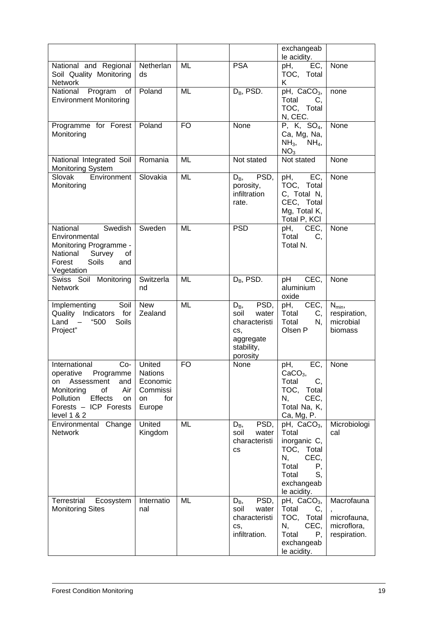|                                                                                                                                                                                     |                                                       |           |                                                                                                     | exchangeab<br>le acidity.                                                                                                     |                                                          |
|-------------------------------------------------------------------------------------------------------------------------------------------------------------------------------------|-------------------------------------------------------|-----------|-----------------------------------------------------------------------------------------------------|-------------------------------------------------------------------------------------------------------------------------------|----------------------------------------------------------|
| National and Regional<br>Soil Quality Monitoring<br>Network                                                                                                                         | Netherlan<br>ds                                       | ML        | <b>PSA</b>                                                                                          | pH,<br>EC.<br>TOC, Total<br>K.                                                                                                | None                                                     |
| National Program<br>of<br><b>Environment Monitoring</b>                                                                                                                             | Poland                                                | ML        | $D_B$ , PSD.                                                                                        | pH, CaCO <sub>3</sub> ,<br>Total<br>C,<br>TOC, Total<br>N, CEC.                                                               | none                                                     |
| Programme for Forest<br>Monitoring                                                                                                                                                  | Poland                                                | <b>FO</b> | None                                                                                                | P, K, SO <sub>4</sub><br>Ca, Mg, Na,<br>$NH_3$ , $NH_4$ ,<br>NO <sub>3</sub>                                                  | None                                                     |
| National Integrated Soil<br><b>Monitoring System</b>                                                                                                                                | Romania                                               | ML        | Not stated                                                                                          | Not stated                                                                                                                    | None                                                     |
| Slovak<br>Environment<br>Monitoring                                                                                                                                                 | Slovakia                                              | ML        | PSD,<br>D <sub>B</sub><br>porosity,<br>infiltration<br>rate.                                        | pH, EC,<br>TOC, Total<br>C, Total N,<br>CEC, Total<br>Mg, Total K,<br>Total P, KCI                                            | None                                                     |
| Swedish<br>National<br>Environmental<br>Monitoring Programme -<br>National Survey<br>of<br><b>Soils</b><br>Forest<br>and<br>Vegetation                                              | Sweden                                                | ML        | <b>PSD</b>                                                                                          | pH, CEC,<br>Total<br>C,<br>Total N.                                                                                           | None                                                     |
| Swiss Soil Monitoring<br><b>Network</b>                                                                                                                                             | Switzerla<br>nd                                       | ML        | $D_B$ , PSD.                                                                                        | CEC,<br>pH<br>aluminium<br>oxide                                                                                              | None                                                     |
| Implementing<br>Soil  <br>Quality Indicators for<br>"500<br>Land<br>$-$<br>Soils<br>Project"                                                                                        | <b>New</b><br>Zealand                                 | ML        | PSD,<br>$D_{\rm B}$<br>soil<br>water<br>characteristi<br>CS,<br>aggregate<br>stability,<br>porosity | $pH,$ CEC,<br>Total<br>C,<br>Total<br>N,<br>Olsen P                                                                           | $N_{min}$<br>respiration,<br>microbial<br>biomass        |
| International<br>$Co-$<br>operative Programme   Nations<br>Assessment<br>and<br>on<br>Monitoring<br>of<br>Air<br>Pollution<br>Effects<br>on<br>Forests - ICP Forests<br>level 1 & 2 | United<br>Economic<br>Commissi<br>for<br>on<br>Europe | <b>FO</b> | None                                                                                                | EC,<br>pH,<br>$CaCO3$ ,<br>Total<br>C,<br>TOC,<br>Total<br>N,<br>CEC,<br>Total Na, K,<br>Ca, Mg, P.                           | None                                                     |
| Environmental Change<br>Network                                                                                                                                                     | United<br>Kingdom                                     | ML        | PSD,<br>$D_{B}$<br>soil<br>water<br>characteristi<br><b>CS</b>                                      | pH, $CaCO3$ ,<br>Total<br>inorganic C,<br>TOC, Total<br>N,<br>CEC,<br>Total<br>Ρ,<br>Total<br>S,<br>exchangeab<br>le acidity. | Microbiologi<br>cal                                      |
| Terrestrial<br>Ecosystem<br><b>Monitoring Sites</b>                                                                                                                                 | Internatio<br>nal                                     | ML        | PSD,<br>$D_{B}$<br>soil<br>water<br>characteristi<br>CS,<br>infiltration.                           | pH, CaCO <sub>3</sub> ,<br>Total<br>C,<br>TOC, Total<br>CEC,<br>N,<br>Total<br>Р,<br>exchangeab<br>le acidity.                | Macrofauna<br>microfauna,<br>microflora,<br>respiration. |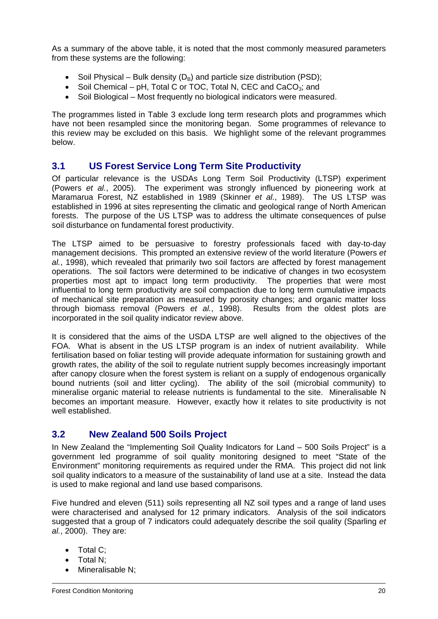As a summary of the above table, it is noted that the most commonly measured parameters from these systems are the following:

- Soil Physical Bulk density  $(D_B)$  and particle size distribution (PSD);
- Soil Chemical pH, Total C or TOC, Total N, CEC and CaCO<sub>3</sub>; and
- Soil Biological Most frequently no biological indicators were measured.

The programmes listed in Table 3 exclude long term research plots and programmes which have not been resampled since the monitoring began. Some programmes of relevance to this review may be excluded on this basis. We highlight some of the relevant programmes below.

#### **3.1 US Forest Service Long Term Site Productivity**

Of particular relevance is the USDAs Long Term Soil Productivity (LTSP) experiment (Powers *et al.*, 2005). The experiment was strongly influenced by pioneering work at Maramarua Forest, NZ established in 1989 (Skinner *et al.*, 1989). The US LTSP was established in 1996 at sites representing the climatic and geological range of North American forests. The purpose of the US LTSP was to address the ultimate consequences of pulse soil disturbance on fundamental forest productivity.

The LTSP aimed to be persuasive to forestry professionals faced with day-to-day management decisions. This prompted an extensive review of the world literature (Powers *et al.*, 1998), which revealed that primarily two soil factors are affected by forest management operations. The soil factors were determined to be indicative of changes in two ecosystem properties most apt to impact long term productivity. The properties that were most influential to long term productivity are soil compaction due to long term cumulative impacts of mechanical site preparation as measured by porosity changes; and organic matter loss through biomass removal (Powers *et al.*, 1998). Results from the oldest plots are incorporated in the soil quality indicator review above.

It is considered that the aims of the USDA LTSP are well aligned to the objectives of the FOA. What is absent in the US LTSP program is an index of nutrient availability. While fertilisation based on foliar testing will provide adequate information for sustaining growth and growth rates, the ability of the soil to regulate nutrient supply becomes increasingly important after canopy closure when the forest system is reliant on a supply of endogenous organically bound nutrients (soil and litter cycling). The ability of the soil (microbial community) to mineralise organic material to release nutrients is fundamental to the site. Mineralisable N becomes an important measure. However, exactly how it relates to site productivity is not well established.

#### **3.2 New Zealand 500 Soils Project**

In New Zealand the "Implementing Soil Quality Indicators for Land – 500 Soils Project" is a government led programme of soil quality monitoring designed to meet "State of the Environment" monitoring requirements as required under the RMA. This project did not link soil quality indicators to a measure of the sustainability of land use at a site. Instead the data is used to make regional and land use based comparisons.

Five hundred and eleven (511) soils representing all NZ soil types and a range of land uses were characterised and analysed for 12 primary indicators. Analysis of the soil indicators suggested that a group of 7 indicators could adequately describe the soil quality (Sparling *et al.*, 2000). They are:

- Total C;
- Total N;
- Mineralisable N: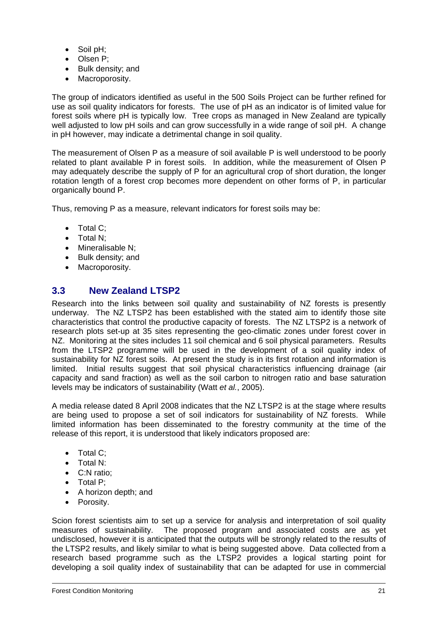- Soil pH;
- Olsen P;
- Bulk density; and
- Macroporosity.

The group of indicators identified as useful in the 500 Soils Project can be further refined for use as soil quality indicators for forests. The use of pH as an indicator is of limited value for forest soils where pH is typically low. Tree crops as managed in New Zealand are typically well adjusted to low pH soils and can grow successfully in a wide range of soil pH. A change in pH however, may indicate a detrimental change in soil quality.

The measurement of Olsen P as a measure of soil available P is well understood to be poorly related to plant available P in forest soils. In addition, while the measurement of Olsen P may adequately describe the supply of P for an agricultural crop of short duration, the longer rotation length of a forest crop becomes more dependent on other forms of P, in particular organically bound P.

Thus, removing P as a measure, relevant indicators for forest soils may be:

- Total C:
- Total N;
- Mineralisable N;
- Bulk density; and
- Macroporosity.

## **3.3 New Zealand LTSP2**

Research into the links between soil quality and sustainability of NZ forests is presently underway. The NZ LTSP2 has been established with the stated aim to identify those site characteristics that control the productive capacity of forests. The NZ LTSP2 is a network of research plots set-up at 35 sites representing the geo-climatic zones under forest cover in NZ. Monitoring at the sites includes 11 soil chemical and 6 soil physical parameters. Results from the LTSP2 programme will be used in the development of a soil quality index of sustainability for NZ forest soils. At present the study is in its first rotation and information is limited. Initial results suggest that soil physical characteristics influencing drainage (air capacity and sand fraction) as well as the soil carbon to nitrogen ratio and base saturation levels may be indicators of sustainability (Watt *et al.*, 2005).

A media release dated 8 April 2008 indicates that the NZ LTSP2 is at the stage where results are being used to propose a set of soil indicators for sustainability of NZ forests. While limited information has been disseminated to the forestry community at the time of the release of this report, it is understood that likely indicators proposed are:

- Total C:
- Total N:
- C:N ratio;
- Total P;
- A horizon depth; and
- Porosity.

Scion forest scientists aim to set up a service for analysis and interpretation of soil quality measures of sustainability. The proposed program and associated costs are as yet undisclosed, however it is anticipated that the outputs will be strongly related to the results of the LTSP2 results, and likely similar to what is being suggested above. Data collected from a research based programme such as the LTSP2 provides a logical starting point for developing a soil quality index of sustainability that can be adapted for use in commercial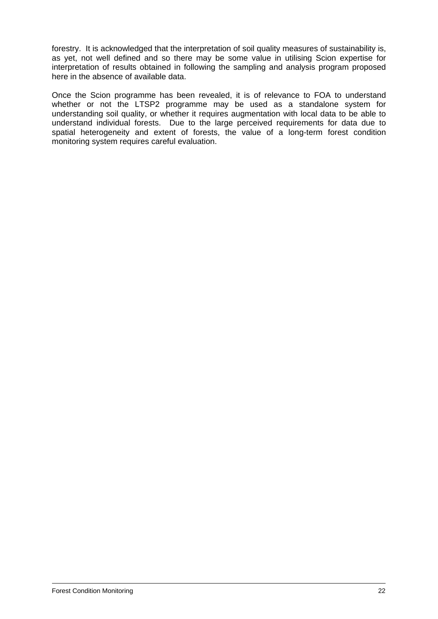forestry. It is acknowledged that the interpretation of soil quality measures of sustainability is, as yet, not well defined and so there may be some value in utilising Scion expertise for interpretation of results obtained in following the sampling and analysis program proposed here in the absence of available data.

Once the Scion programme has been revealed, it is of relevance to FOA to understand whether or not the LTSP2 programme may be used as a standalone system for understanding soil quality, or whether it requires augmentation with local data to be able to understand individual forests. Due to the large perceived requirements for data due to spatial heterogeneity and extent of forests, the value of a long-term forest condition monitoring system requires careful evaluation.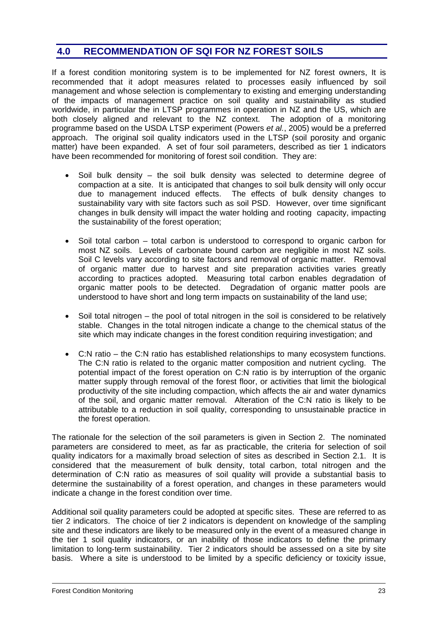## **4.0 RECOMMENDATION OF SQI FOR NZ FOREST SOILS**

If a forest condition monitoring system is to be implemented for NZ forest owners, It is recommended that it adopt measures related to processes easily influenced by soil management and whose selection is complementary to existing and emerging understanding of the impacts of management practice on soil quality and sustainability as studied worldwide, in particular the in LTSP programmes in operation in NZ and the US, which are both closely aligned and relevant to the NZ context. The adoption of a monitoring programme based on the USDA LTSP experiment (Powers *et al.*, 2005) would be a preferred approach. The original soil quality indicators used in the LTSP (soil porosity and organic matter) have been expanded. A set of four soil parameters, described as tier 1 indicators have been recommended for monitoring of forest soil condition. They are:

- Soil bulk density the soil bulk density was selected to determine degree of compaction at a site. It is anticipated that changes to soil bulk density will only occur due to management induced effects. The effects of bulk density changes to sustainability vary with site factors such as soil PSD. However, over time significant changes in bulk density will impact the water holding and rooting capacity, impacting the sustainability of the forest operation;
- Soil total carbon total carbon is understood to correspond to organic carbon for most NZ soils. Levels of carbonate bound carbon are negligible in most NZ soils. Soil C levels vary according to site factors and removal of organic matter. Removal of organic matter due to harvest and site preparation activities varies greatly according to practices adopted. Measuring total carbon enables degradation of organic matter pools to be detected. Degradation of organic matter pools are understood to have short and long term impacts on sustainability of the land use;
- Soil total nitrogen the pool of total nitrogen in the soil is considered to be relatively stable. Changes in the total nitrogen indicate a change to the chemical status of the site which may indicate changes in the forest condition requiring investigation; and
- C:N ratio the C:N ratio has established relationships to many ecosystem functions. The C:N ratio is related to the organic matter composition and nutrient cycling. The potential impact of the forest operation on C:N ratio is by interruption of the organic matter supply through removal of the forest floor, or activities that limit the biological productivity of the site including compaction, which affects the air and water dynamics of the soil, and organic matter removal. Alteration of the C:N ratio is likely to be attributable to a reduction in soil quality, corresponding to unsustainable practice in the forest operation.

The rationale for the selection of the soil parameters is given in Section 2. The nominated parameters are considered to meet, as far as practicable, the criteria for selection of soil quality indicators for a maximally broad selection of sites as described in Section 2.1. It is considered that the measurement of bulk density, total carbon, total nitrogen and the determination of C:N ratio as measures of soil quality will provide a substantial basis to determine the sustainability of a forest operation, and changes in these parameters would indicate a change in the forest condition over time.

Additional soil quality parameters could be adopted at specific sites. These are referred to as tier 2 indicators. The choice of tier 2 indicators is dependent on knowledge of the sampling site and these indicators are likely to be measured only in the event of a measured change in the tier 1 soil quality indicators, or an inability of those indicators to define the primary limitation to long-term sustainability. Tier 2 indicators should be assessed on a site by site basis. Where a site is understood to be limited by a specific deficiency or toxicity issue,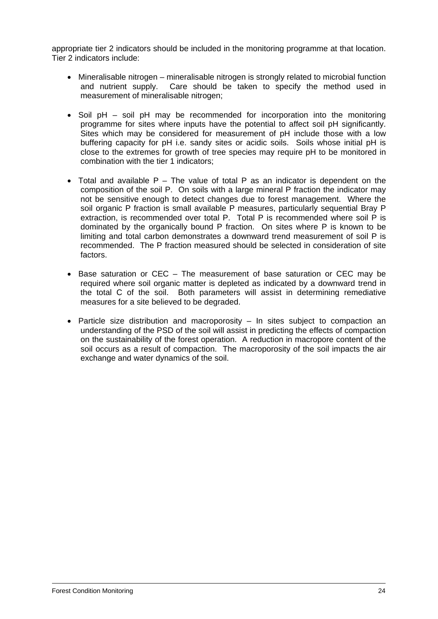appropriate tier 2 indicators should be included in the monitoring programme at that location. Tier 2 indicators include:

- Mineralisable nitrogen mineralisable nitrogen is strongly related to microbial function and nutrient supply. Care should be taken to specify the method used in measurement of mineralisable nitrogen;
- Soil pH soil pH may be recommended for incorporation into the monitoring programme for sites where inputs have the potential to affect soil pH significantly. Sites which may be considered for measurement of pH include those with a low buffering capacity for pH i.e. sandy sites or acidic soils. Soils whose initial pH is close to the extremes for growth of tree species may require pH to be monitored in combination with the tier 1 indicators;
- Total and available  $P -$  The value of total P as an indicator is dependent on the composition of the soil P. On soils with a large mineral P fraction the indicator may not be sensitive enough to detect changes due to forest management. Where the soil organic P fraction is small available P measures, particularly sequential Bray P extraction, is recommended over total P. Total P is recommended where soil P is dominated by the organically bound P fraction. On sites where P is known to be limiting and total carbon demonstrates a downward trend measurement of soil P is recommended. The P fraction measured should be selected in consideration of site factors.
- Base saturation or CEC The measurement of base saturation or CEC may be required where soil organic matter is depleted as indicated by a downward trend in the total C of the soil. Both parameters will assist in determining remediative measures for a site believed to be degraded.
- Particle size distribution and macroporosity In sites subject to compaction an understanding of the PSD of the soil will assist in predicting the effects of compaction on the sustainability of the forest operation. A reduction in macropore content of the soil occurs as a result of compaction. The macroporosity of the soil impacts the air exchange and water dynamics of the soil.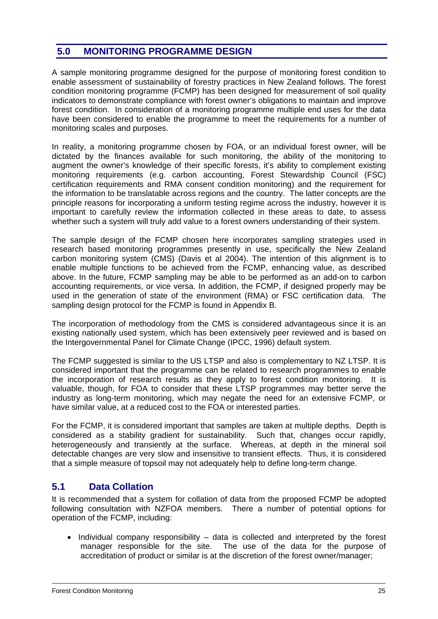## **5.0 MONITORING PROGRAMME DESIGN**

A sample monitoring programme designed for the purpose of monitoring forest condition to enable assessment of sustainability of forestry practices in New Zealand follows. The forest condition monitoring programme (FCMP) has been designed for measurement of soil quality indicators to demonstrate compliance with forest owner's obligations to maintain and improve forest condition. In consideration of a monitoring programme multiple end uses for the data have been considered to enable the programme to meet the requirements for a number of monitoring scales and purposes.

In reality, a monitoring programme chosen by FOA, or an individual forest owner, will be dictated by the finances available for such monitoring, the ability of the monitoring to augment the owner's knowledge of their specific forests, it's ability to complement existing monitoring requirements (e.g. carbon accounting, Forest Stewardship Council (FSC) certification requirements and RMA consent condition monitoring) and the requirement for the information to be translatable across regions and the country. The latter concepts are the principle reasons for incorporating a uniform testing regime across the industry, however it is important to carefully review the information collected in these areas to date, to assess whether such a system will truly add value to a forest owners understanding of their system.

The sample design of the FCMP chosen here incorporates sampling strategies used in research based monitoring programmes presently in use, specifically the New Zealand carbon monitoring system (CMS) (Davis et al 2004). The intention of this alignment is to enable multiple functions to be achieved from the FCMP, enhancing value, as described above. In the future, FCMP sampling may be able to be performed as an add-on to carbon accounting requirements, or vice versa. In addition, the FCMP, if designed properly may be used in the generation of state of the environment (RMA) or FSC certification data. The sampling design protocol for the FCMP is found in Appendix B.

The incorporation of methodology from the CMS is considered advantageous since it is an existing nationally used system, which has been extensively peer reviewed and is based on the Intergovernmental Panel for Climate Change (IPCC, 1996) default system.

The FCMP suggested is similar to the US LTSP and also is complementary to NZ LTSP. It is considered important that the programme can be related to research programmes to enable the incorporation of research results as they apply to forest condition monitoring. It is valuable, though, for FOA to consider that these LTSP programmes may better serve the industry as long-term monitoring, which may negate the need for an extensive FCMP, or have similar value, at a reduced cost to the FOA or interested parties.

For the FCMP, it is considered important that samples are taken at multiple depths. Depth is considered as a stability gradient for sustainability. Such that, changes occur rapidly, heterogeneously and transiently at the surface. Whereas, at depth in the mineral soil detectable changes are very slow and insensitive to transient effects. Thus, it is considered that a simple measure of topsoil may not adequately help to define long-term change.

## **5.1 Data Collation**

It is recommended that a system for collation of data from the proposed FCMP be adopted following consultation with NZFOA members. There a number of potential options for operation of the FCMP, including:

• Individual company responsibility – data is collected and interpreted by the forest manager responsible for the site. The use of the data for the purpose of accreditation of product or similar is at the discretion of the forest owner/manager;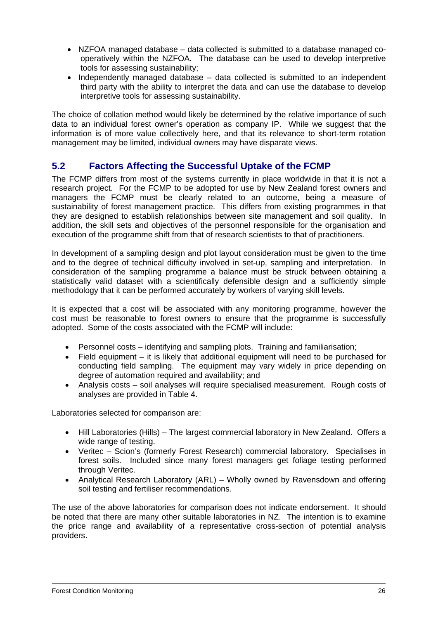- NZFOA managed database data collected is submitted to a database managed cooperatively within the NZFOA. The database can be used to develop interpretive tools for assessing sustainability;
- Independently managed database data collected is submitted to an independent third party with the ability to interpret the data and can use the database to develop interpretive tools for assessing sustainability.

The choice of collation method would likely be determined by the relative importance of such data to an individual forest owner's operation as company IP. While we suggest that the information is of more value collectively here, and that its relevance to short-term rotation management may be limited, individual owners may have disparate views.

## **5.2 Factors Affecting the Successful Uptake of the FCMP**

The FCMP differs from most of the systems currently in place worldwide in that it is not a research project. For the FCMP to be adopted for use by New Zealand forest owners and managers the FCMP must be clearly related to an outcome, being a measure of sustainability of forest management practice. This differs from existing programmes in that they are designed to establish relationships between site management and soil quality. In addition, the skill sets and objectives of the personnel responsible for the organisation and execution of the programme shift from that of research scientists to that of practitioners.

In development of a sampling design and plot layout consideration must be given to the time and to the degree of technical difficulty involved in set-up, sampling and interpretation. In consideration of the sampling programme a balance must be struck between obtaining a statistically valid dataset with a scientifically defensible design and a sufficiently simple methodology that it can be performed accurately by workers of varying skill levels.

It is expected that a cost will be associated with any monitoring programme, however the cost must be reasonable to forest owners to ensure that the programme is successfully adopted. Some of the costs associated with the FCMP will include:

- Personnel costs identifying and sampling plots. Training and familiarisation;
- Field equipment it is likely that additional equipment will need to be purchased for conducting field sampling. The equipment may vary widely in price depending on degree of automation required and availability; and
- Analysis costs soil analyses will require specialised measurement. Rough costs of analyses are provided in Table 4.

Laboratories selected for comparison are:

- Hill Laboratories (Hills) The largest commercial laboratory in New Zealand. Offers a wide range of testing.
- Veritec Scion's (formerly Forest Research) commercial laboratory. Specialises in forest soils. Included since many forest managers get foliage testing performed through Veritec.
- Analytical Research Laboratory (ARL) Wholly owned by Ravensdown and offering soil testing and fertiliser recommendations.

The use of the above laboratories for comparison does not indicate endorsement. It should be noted that there are many other suitable laboratories in NZ. The intention is to examine the price range and availability of a representative cross-section of potential analysis providers.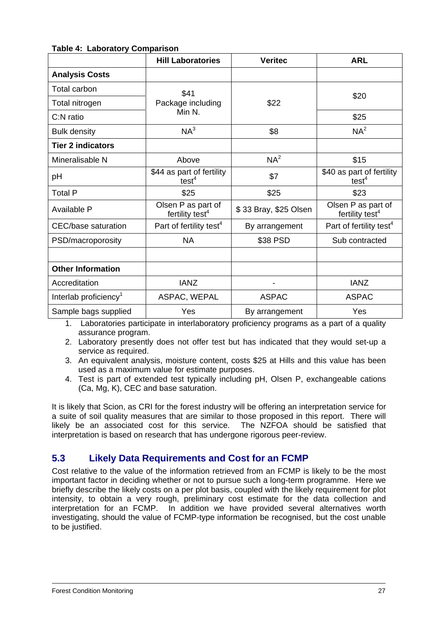| ANIV TI LUNVIULVI J               | <b>Hill Laboratories</b>                          | <b>Veritec</b>        | <b>ARL</b>                                        |  |
|-----------------------------------|---------------------------------------------------|-----------------------|---------------------------------------------------|--|
| <b>Analysis Costs</b>             |                                                   |                       |                                                   |  |
| Total carbon                      | \$41                                              |                       | \$20                                              |  |
| Total nitrogen                    | Package including                                 | \$22                  |                                                   |  |
| C:N ratio                         | Min N.                                            |                       | \$25                                              |  |
| <b>Bulk density</b>               | $NA^3$                                            | \$8                   | NA <sup>2</sup>                                   |  |
| <b>Tier 2 indicators</b>          |                                                   |                       |                                                   |  |
| Mineralisable N                   | Above                                             | NA <sup>2</sup>       | \$15                                              |  |
| pH                                | \$44 as part of fertility<br>test <sup>4</sup>    | \$7                   | \$40 as part of fertility<br>test <sup>4</sup>    |  |
| <b>Total P</b>                    | \$25                                              | \$25                  | \$23                                              |  |
| Available P                       | Olsen P as part of<br>fertility test <sup>4</sup> | \$33 Bray, \$25 Olsen | Olsen P as part of<br>fertility test <sup>4</sup> |  |
| CEC/base saturation               | Part of fertility test <sup>4</sup>               | By arrangement        | Part of fertility test <sup>4</sup>               |  |
| PSD/macroporosity                 | <b>NA</b>                                         | \$38 PSD              | Sub contracted                                    |  |
|                                   |                                                   |                       |                                                   |  |
| <b>Other Information</b>          |                                                   |                       |                                                   |  |
| Accreditation                     | <b>IANZ</b>                                       |                       | <b>IANZ</b>                                       |  |
| Interlab proficiency <sup>1</sup> | ASPAC, WEPAL                                      | <b>ASPAC</b>          | <b>ASPAC</b>                                      |  |
| Sample bags supplied              | Yes                                               | By arrangement        | Yes                                               |  |

#### **Table 4: Laboratory Comparison**

1. Laboratories participate in interlaboratory proficiency programs as a part of a quality assurance program.

2. Laboratory presently does not offer test but has indicated that they would set-up a service as required.

3. An equivalent analysis, moisture content, costs \$25 at Hills and this value has been used as a maximum value for estimate purposes.

4. Test is part of extended test typically including pH, Olsen P, exchangeable cations (Ca, Mg, K), CEC and base saturation.

It is likely that Scion, as CRI for the forest industry will be offering an interpretation service for a suite of soil quality measures that are similar to those proposed in this report. There will likely be an associated cost for this service. The NZFOA should be satisfied that interpretation is based on research that has undergone rigorous peer-review.

## **5.3 Likely Data Requirements and Cost for an FCMP**

Cost relative to the value of the information retrieved from an FCMP is likely to be the most important factor in deciding whether or not to pursue such a long-term programme. Here we briefly describe the likely costs on a per plot basis, coupled with the likely requirement for plot intensity, to obtain a very rough, preliminary cost estimate for the data collection and interpretation for an FCMP. In addition we have provided several alternatives worth investigating, should the value of FCMP-type information be recognised, but the cost unable to be justified.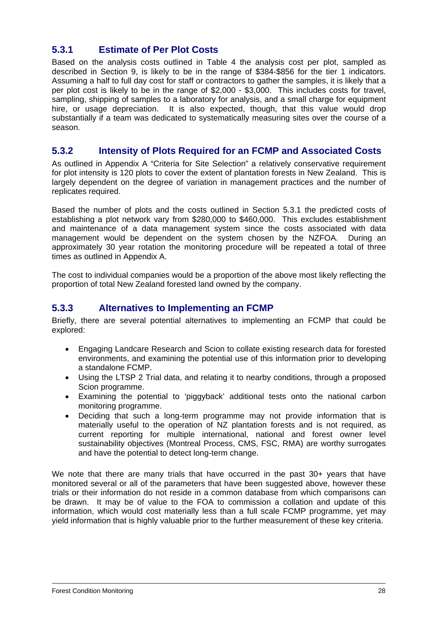## **5.3.1 Estimate of Per Plot Costs**

Based on the analysis costs outlined in Table 4 the analysis cost per plot, sampled as described in Section 9, is likely to be in the range of \$384-\$856 for the tier 1 indicators. Assuming a half to full day cost for staff or contractors to gather the samples, it is likely that a per plot cost is likely to be in the range of \$2,000 - \$3,000. This includes costs for travel, sampling, shipping of samples to a laboratory for analysis, and a small charge for equipment hire, or usage depreciation. It is also expected, though, that this value would drop substantially if a team was dedicated to systematically measuring sites over the course of a season.

#### **5.3.2 Intensity of Plots Required for an FCMP and Associated Costs**

As outlined in Appendix A "Criteria for Site Selection" a relatively conservative requirement for plot intensity is 120 plots to cover the extent of plantation forests in New Zealand. This is largely dependent on the degree of variation in management practices and the number of replicates required.

Based the number of plots and the costs outlined in Section 5.3.1 the predicted costs of establishing a plot network vary from \$280,000 to \$460,000. This excludes establishment and maintenance of a data management system since the costs associated with data management would be dependent on the system chosen by the NZFOA. During an approximately 30 year rotation the monitoring procedure will be repeated a total of three times as outlined in Appendix A.

The cost to individual companies would be a proportion of the above most likely reflecting the proportion of total New Zealand forested land owned by the company.

#### **5.3.3 Alternatives to Implementing an FCMP**

Briefly, there are several potential alternatives to implementing an FCMP that could be explored:

- Engaging Landcare Research and Scion to collate existing research data for forested environments, and examining the potential use of this information prior to developing a standalone FCMP.
- Using the LTSP 2 Trial data, and relating it to nearby conditions, through a proposed Scion programme.
- Examining the potential to 'piggyback' additional tests onto the national carbon monitoring programme.
- Deciding that such a long-term programme may not provide information that is materially useful to the operation of NZ plantation forests and is not required, as current reporting for multiple international, national and forest owner level sustainability objectives (Montreal Process, CMS, FSC, RMA) are worthy surrogates and have the potential to detect long-term change.

We note that there are many trials that have occurred in the past 30+ years that have monitored several or all of the parameters that have been suggested above, however these trials or their information do not reside in a common database from which comparisons can be drawn. It may be of value to the FOA to commission a collation and update of this information, which would cost materially less than a full scale FCMP programme, yet may yield information that is highly valuable prior to the further measurement of these key criteria.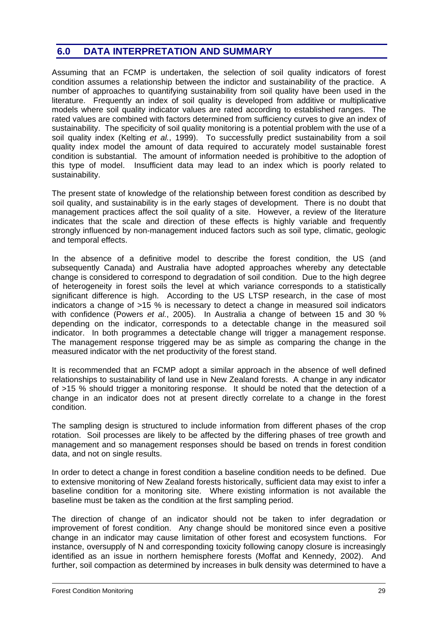## **6.0 DATA INTERPRETATION AND SUMMARY**

Assuming that an FCMP is undertaken, the selection of soil quality indicators of forest condition assumes a relationship between the indictor and sustainability of the practice. A number of approaches to quantifying sustainability from soil quality have been used in the literature. Frequently an index of soil quality is developed from additive or multiplicative models where soil quality indicator values are rated according to established ranges. The rated values are combined with factors determined from sufficiency curves to give an index of sustainability. The specificity of soil quality monitoring is a potential problem with the use of a soil quality index (Kelting *et al.*, 1999). To successfully predict sustainability from a soil quality index model the amount of data required to accurately model sustainable forest condition is substantial. The amount of information needed is prohibitive to the adoption of this type of model. Insufficient data may lead to an index which is poorly related to sustainability.

The present state of knowledge of the relationship between forest condition as described by soil quality, and sustainability is in the early stages of development. There is no doubt that management practices affect the soil quality of a site. However, a review of the literature indicates that the scale and direction of these effects is highly variable and frequently strongly influenced by non-management induced factors such as soil type, climatic, geologic and temporal effects.

In the absence of a definitive model to describe the forest condition, the US (and subsequently Canada) and Australia have adopted approaches whereby any detectable change is considered to correspond to degradation of soil condition. Due to the high degree of heterogeneity in forest soils the level at which variance corresponds to a statistically significant difference is high. According to the US LTSP research, in the case of most indicators a change of >15 % is necessary to detect a change in measured soil indicators with confidence (Powers *et al.*, 2005). In Australia a change of between 15 and 30 % depending on the indicator, corresponds to a detectable change in the measured soil indicator. In both programmes a detectable change will trigger a management response. The management response triggered may be as simple as comparing the change in the measured indicator with the net productivity of the forest stand.

It is recommended that an FCMP adopt a similar approach in the absence of well defined relationships to sustainability of land use in New Zealand forests. A change in any indicator of >15 % should trigger a monitoring response. It should be noted that the detection of a change in an indicator does not at present directly correlate to a change in the forest condition.

The sampling design is structured to include information from different phases of the crop rotation. Soil processes are likely to be affected by the differing phases of tree growth and management and so management responses should be based on trends in forest condition data, and not on single results.

In order to detect a change in forest condition a baseline condition needs to be defined. Due to extensive monitoring of New Zealand forests historically, sufficient data may exist to infer a baseline condition for a monitoring site. Where existing information is not available the baseline must be taken as the condition at the first sampling period.

The direction of change of an indicator should not be taken to infer degradation or improvement of forest condition. Any change should be monitored since even a positive change in an indicator may cause limitation of other forest and ecosystem functions. For instance, oversupply of N and corresponding toxicity following canopy closure is increasingly identified as an issue in northern hemisphere forests (Moffat and Kennedy, 2002). And further, soil compaction as determined by increases in bulk density was determined to have a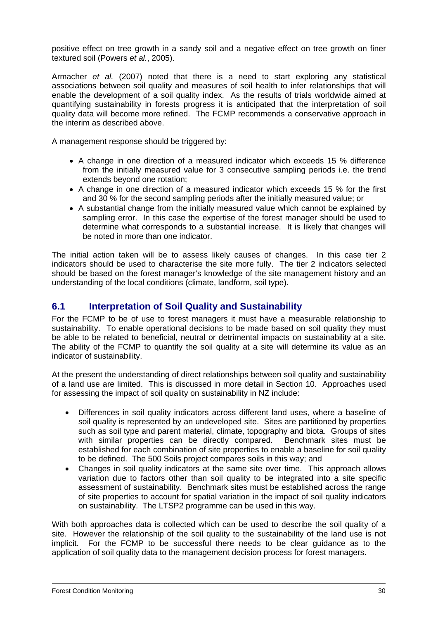positive effect on tree growth in a sandy soil and a negative effect on tree growth on finer textured soil (Powers *et al.*, 2005).

Armacher *et al.* (2007) noted that there is a need to start exploring any statistical associations between soil quality and measures of soil health to infer relationships that will enable the development of a soil quality index. As the results of trials worldwide aimed at quantifying sustainability in forests progress it is anticipated that the interpretation of soil quality data will become more refined. The FCMP recommends a conservative approach in the interim as described above.

A management response should be triggered by:

- A change in one direction of a measured indicator which exceeds 15 % difference from the initially measured value for 3 consecutive sampling periods i.e. the trend extends beyond one rotation;
- A change in one direction of a measured indicator which exceeds 15 % for the first and 30 % for the second sampling periods after the initially measured value; or
- A substantial change from the initially measured value which cannot be explained by sampling error. In this case the expertise of the forest manager should be used to determine what corresponds to a substantial increase. It is likely that changes will be noted in more than one indicator.

The initial action taken will be to assess likely causes of changes. In this case tier 2 indicators should be used to characterise the site more fully. The tier 2 indicators selected should be based on the forest manager's knowledge of the site management history and an understanding of the local conditions (climate, landform, soil type).

#### **6.1 Interpretation of Soil Quality and Sustainability**

For the FCMP to be of use to forest managers it must have a measurable relationship to sustainability. To enable operational decisions to be made based on soil quality they must be able to be related to beneficial, neutral or detrimental impacts on sustainability at a site. The ability of the FCMP to quantify the soil quality at a site will determine its value as an indicator of sustainability.

At the present the understanding of direct relationships between soil quality and sustainability of a land use are limited. This is discussed in more detail in Section 10. Approaches used for assessing the impact of soil quality on sustainability in NZ include:

- Differences in soil quality indicators across different land uses, where a baseline of soil quality is represented by an undeveloped site. Sites are partitioned by properties such as soil type and parent material, climate, topography and biota. Groups of sites with similar properties can be directly compared. Benchmark sites must be established for each combination of site properties to enable a baseline for soil quality to be defined. The 500 Soils project compares soils in this way; and
- Changes in soil quality indicators at the same site over time. This approach allows variation due to factors other than soil quality to be integrated into a site specific assessment of sustainability. Benchmark sites must be established across the range of site properties to account for spatial variation in the impact of soil quality indicators on sustainability. The LTSP2 programme can be used in this way.

With both approaches data is collected which can be used to describe the soil quality of a site. However the relationship of the soil quality to the sustainability of the land use is not implicit. For the FCMP to be successful there needs to be clear guidance as to the application of soil quality data to the management decision process for forest managers.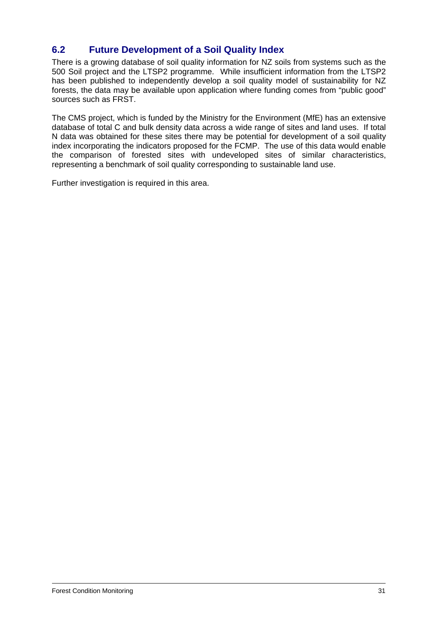## **6.2 Future Development of a Soil Quality Index**

There is a growing database of soil quality information for NZ soils from systems such as the 500 Soil project and the LTSP2 programme. While insufficient information from the LTSP2 has been published to independently develop a soil quality model of sustainability for NZ forests, the data may be available upon application where funding comes from "public good" sources such as FRST.

The CMS project, which is funded by the Ministry for the Environment (MfE) has an extensive database of total C and bulk density data across a wide range of sites and land uses. If total N data was obtained for these sites there may be potential for development of a soil quality index incorporating the indicators proposed for the FCMP. The use of this data would enable the comparison of forested sites with undeveloped sites of similar characteristics, representing a benchmark of soil quality corresponding to sustainable land use.

Further investigation is required in this area.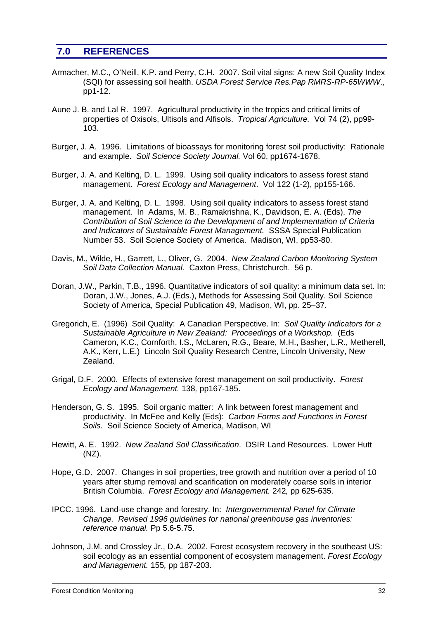## **7.0 REFERENCES**

- Armacher, M.C., O'Neill, K.P. and Perry, C.H. 2007. Soil vital signs: A new Soil Quality Index (SQI) for assessing soil health. *USDA Forest Service Res.Pap RMRS-RP-65WWW*., pp1-12.
- Aune J. B. and Lal R. 1997. Agricultural productivity in the tropics and critical limits of properties of Oxisols, Ultisols and Alfisols. *Tropical Agriculture.* Vol 74 (2), pp99- 103.
- Burger, J. A. 1996. Limitations of bioassays for monitoring forest soil productivity: Rationale and example. *Soil Science Society Journal.* Vol 60, pp1674-1678.
- Burger, J. A. and Kelting, D. L. 1999. Using soil quality indicators to assess forest stand management. *Forest Ecology and Management*. Vol 122 (1-2), pp155-166.
- Burger, J. A. and Kelting, D. L. 1998. Using soil quality indicators to assess forest stand management. In Adams, M. B., Ramakrishna, K., Davidson, E. A. (Eds), *The Contribution of Soil Science to the Development of and Implementation of Criteria and Indicators of Sustainable Forest Management.* SSSA Special Publication Number 53. Soil Science Society of America. Madison, WI, pp53-80.
- Davis, M., Wilde, H., Garrett, L., Oliver, G. 2004. *New Zealand Carbon Monitoring System Soil Data Collection Manual.* Caxton Press, Christchurch. 56 p.
- Doran, J.W., Parkin, T.B., 1996. Quantitative indicators of soil quality: a minimum data set. In: Doran, J.W., Jones, A.J. (Eds.), Methods for Assessing Soil Quality. Soil Science Society of America, Special Publication 49, Madison, WI, pp. 25–37.
- Gregorich, E. (1996) Soil Quality: A Canadian Perspective. In: *Soil Quality Indicators for a Sustainable Agriculture in New Zealand: Proceedings of a Workshop.* (Eds Cameron, K.C., Cornforth, I.S., McLaren, R.G., Beare, M.H., Basher, L.R., Metherell, A.K., Kerr, L.E.) Lincoln Soil Quality Research Centre, Lincoln University, New Zealand.
- Grigal, D.F. 2000. Effects of extensive forest management on soil productivity. *Forest Ecology and Management.* 138*,* pp167-185.
- Henderson, G. S. 1995. Soil organic matter: A link between forest management and productivity. In McFee and Kelly (Eds): *Carbon Forms and Functions in Forest Soils.* Soil Science Society of America, Madison, WI
- Hewitt, A. E. 1992. *New Zealand Soil Classification*. DSIR Land Resources. Lower Hutt (NZ).
- Hope, G.D. 2007. Changes in soil properties, tree growth and nutrition over a period of 10 years after stump removal and scarification on moderately coarse soils in interior British Columbia. *Forest Ecology and Management.* 242*,* pp 625-635.
- IPCC. 1996. Land-use change and forestry. In: *Intergovernmental Panel for Climate Change. Revised 1996 guidelines for national greenhouse gas inventories: reference manual.* Pp 5.6-5.75.
- Johnson, J.M. and Crossley Jr., D.A. 2002. Forest ecosystem recovery in the southeast US: soil ecology as an essential component of ecosystem management. *Forest Ecology and Management.* 155*,* pp 187-203.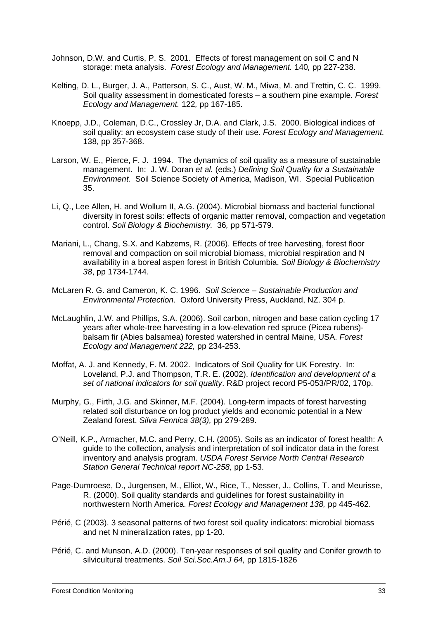- Johnson, D.W. and Curtis, P. S. 2001. Effects of forest management on soil C and N storage: meta analysis. *Forest Ecology and Management.* 140*,* pp 227-238.
- Kelting, D. L., Burger, J. A., Patterson, S. C., Aust, W. M., Miwa, M. and Trettin, C. C. 1999. Soil quality assessment in domesticated forests – a southern pine example. *Forest Ecology and Management.* 122*,* pp 167-185.
- Knoepp, J.D., Coleman, D.C., Crossley Jr, D.A. and Clark, J.S. 2000. Biological indices of soil quality: an ecosystem case study of their use. *Forest Ecology and Management.* 138, pp 357-368.
- Larson, W. E., Pierce, F. J. 1994. The dynamics of soil quality as a measure of sustainable management. In: J. W. Doran *et al.* (eds.) *Defining Soil Quality for a Sustainable Environment.* Soil Science Society of America, Madison, WI. Special Publication 35.
- Li, Q., Lee Allen, H. and Wollum II, A.G. (2004). Microbial biomass and bacterial functional diversity in forest soils: effects of organic matter removal, compaction and vegetation control. *Soil Biology & Biochemistry.* 36*,* pp 571-579.
- Mariani, L., Chang, S.X. and Kabzems, R. (2006). Effects of tree harvesting, forest floor removal and compaction on soil microbial biomass, microbial respiration and N availability in a boreal aspen forest in British Columbia. *Soil Biology & Biochemistry 38*, pp 1734-1744.
- McLaren R. G. and Cameron, K. C. 1996. *Soil Science Sustainable Production and Environmental Protection*. Oxford University Press, Auckland, NZ. 304 p.
- McLaughlin, J.W. and Phillips, S.A. (2006). Soil carbon, nitrogen and base cation cycling 17 years after whole-tree harvesting in a low-elevation red spruce (Picea rubens) balsam fir (Abies balsamea) forested watershed in central Maine, USA. *Forest Ecology and Management 222,* pp 234-253.
- Moffat, A. J. and Kennedy, F. M. 2002. Indicators of Soil Quality for UK Forestry. In: Loveland, P.J. and Thompson, T.R. E. (2002). *Identification and development of a set of national indicators for soil quality*. R&D project record P5-053/PR/02, 170p.
- Murphy, G., Firth, J.G. and Skinner, M.F. (2004). Long-term impacts of forest harvesting related soil disturbance on log product yields and economic potential in a New Zealand forest. *Silva Fennica 38(3),* pp 279-289.
- O'Neill, K.P., Armacher, M.C. and Perry, C.H. (2005). Soils as an indicator of forest health: A guide to the collection, analysis and interpretation of soil indicator data in the forest inventory and analysis program. *USDA Forest Service North Central Research Station General Technical report NC-258,* pp 1-53.
- Page-Dumroese, D., Jurgensen, M., Elliot, W., Rice, T., Nesser, J., Collins, T. and Meurisse, R. (2000). Soil quality standards and guidelines for forest sustainability in northwestern North America. *Forest Ecology and Management 138,* pp 445-462.
- Périé, C (2003). 3 seasonal patterns of two forest soil quality indicators: microbial biomass and net N mineralization rates, pp 1-20.
- Périé, C. and Munson, A.D. (2000). Ten-year responses of soil quality and Conifer growth to silvicultural treatments. *Soil Sci.Soc.Am.J 64,* pp 1815-1826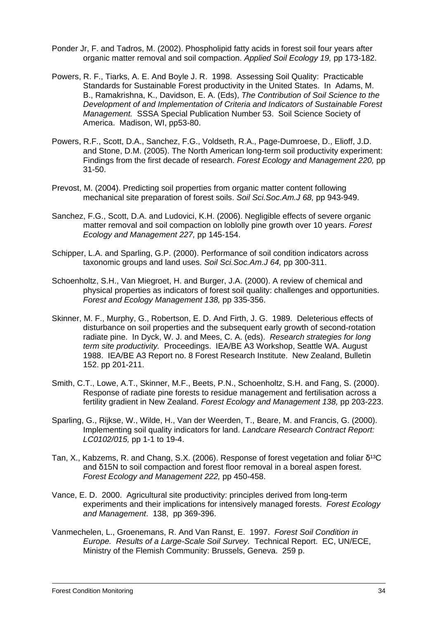- Ponder Jr, F. and Tadros, M. (2002). Phospholipid fatty acids in forest soil four years after organic matter removal and soil compaction. *Applied Soil Ecology 19,* pp 173-182.
- Powers, R. F., Tiarks, A. E. And Boyle J. R. 1998. Assessing Soil Quality: Practicable Standards for Sustainable Forest productivity in the United States. In Adams, M. B., Ramakrishna, K., Davidson, E. A. (Eds), *The Contribution of Soil Science to the Development of and Implementation of Criteria and Indicators of Sustainable Forest Management.* SSSA Special Publication Number 53. Soil Science Society of America. Madison, WI, pp53-80.
- Powers, R.F., Scott, D.A., Sanchez, F.G., Voldseth, R.A., Page-Dumroese, D., Elioff, J.D. and Stone, D.M. (2005). The North American long-term soil productivity experiment: Findings from the first decade of research. *Forest Ecology and Management 220,* pp 31-50.
- Prevost, M. (2004). Predicting soil properties from organic matter content following mechanical site preparation of forest soils. *Soil Sci.Soc.Am.J 68,* pp 943-949.
- Sanchez, F.G., Scott, D.A. and Ludovici, K.H. (2006). Negligible effects of severe organic matter removal and soil compaction on loblolly pine growth over 10 years. *Forest Ecology and Management 227,* pp 145-154.
- Schipper, L.A. and Sparling, G.P. (2000). Performance of soil condition indicators across taxonomic groups and land uses. *Soil Sci.Soc.Am.J 64,* pp 300-311.
- Schoenholtz, S.H., Van Miegroet, H. and Burger, J.A. (2000). A review of chemical and physical properties as indicators of forest soil quality: challenges and opportunities. *Forest and Ecology Management 138,* pp 335-356.
- Skinner, M. F., Murphy, G., Robertson, E. D. And Firth, J. G. 1989. Deleterious effects of disturbance on soil properties and the subsequent early growth of second-rotation radiate pine. In Dyck, W. J. and Mees, C. A. (eds). *Research strategies for long term site productivity.* Proceedings. IEA/BE A3 Workshop, Seattle WA. August 1988. IEA/BE A3 Report no. 8 Forest Research Institute. New Zealand, Bulletin 152. pp 201-211.
- Smith, C.T., Lowe, A.T., Skinner, M.F., Beets, P.N., Schoenholtz, S.H. and Fang, S. (2000). Response of radiate pine forests to residue management and fertilisation across a fertility gradient in New Zealand. *Forest Ecology and Management 138,* pp 203-223.
- Sparling, G., Rijkse, W., Wilde, H., Van der Weerden, T., Beare, M. and Francis, G. (2000). Implementing soil quality indicators for land. *Landcare Research Contract Report: LC0102/015,* pp 1-1 to 19-4.
- Tan, X., Kabzems, R. and Chang, S.X. (2006). Response of forest vegetation and foliar δ<sup>13</sup>C and δ15N to soil compaction and forest floor removal in a boreal aspen forest. *Forest Ecology and Management 222,* pp 450-458.
- Vance, E. D. 2000. Agricultural site productivity: principles derived from long-term experiments and their implications for intensively managed forests. *Forest Ecology and Management*. 138, pp 369-396.
- Vanmechelen, L., Groenemans, R. And Van Ranst, E. 1997. *Forest Soil Condition in Europe. Results of a Large-Scale Soil Survey.* Technical Report. EC, UN/ECE, Ministry of the Flemish Community: Brussels, Geneva. 259 p.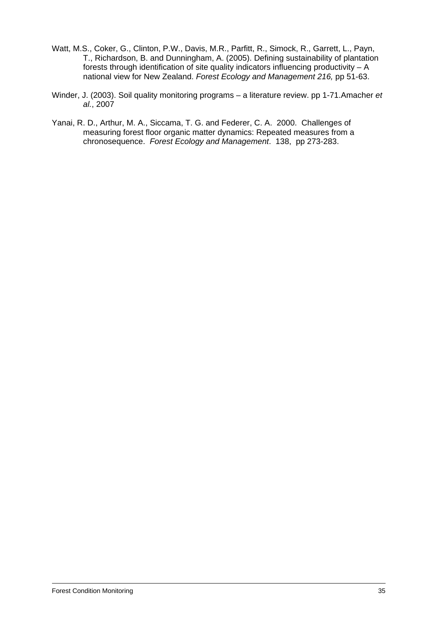- Watt, M.S., Coker, G., Clinton, P.W., Davis, M.R., Parfitt, R., Simock, R., Garrett, L., Payn, T., Richardson, B. and Dunningham, A. (2005). Defining sustainability of plantation forests through identification of site quality indicators influencing productivity – A national view for New Zealand. *Forest Ecology and Management 216,* pp 51-63.
- Winder, J. (2003). Soil quality monitoring programs a literature review. pp 1-71.Amacher *et al.*, 2007
- Yanai, R. D., Arthur, M. A., Siccama, T. G. and Federer, C. A. 2000. Challenges of measuring forest floor organic matter dynamics: Repeated measures from a chronosequence. *Forest Ecology and Management*. 138, pp 273-283.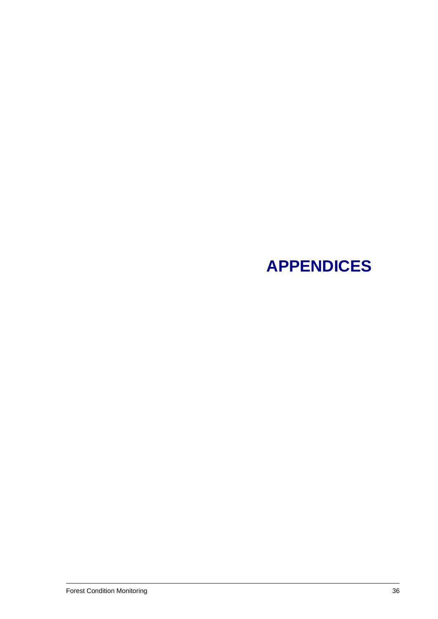# **APPENDICES**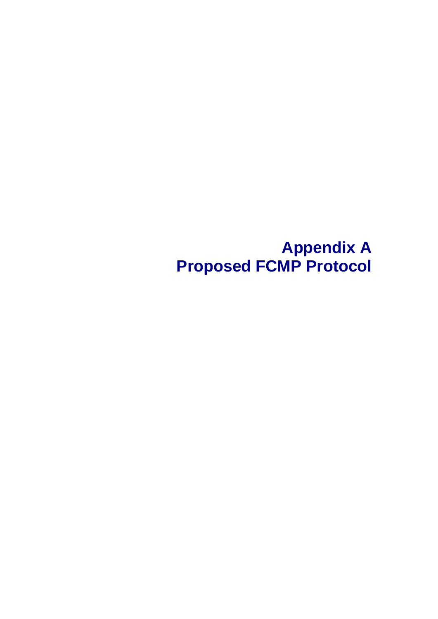**Appendix A Proposed FCMP Protocol**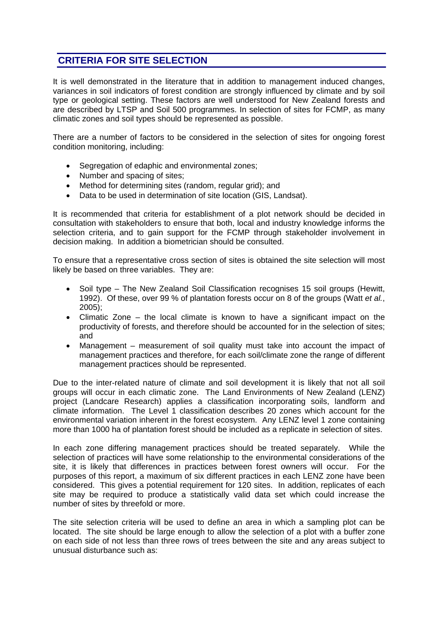## **CRITERIA FOR SITE SELECTION**

It is well demonstrated in the literature that in addition to management induced changes, variances in soil indicators of forest condition are strongly influenced by climate and by soil type or geological setting. These factors are well understood for New Zealand forests and are described by LTSP and Soil 500 programmes. In selection of sites for FCMP, as many climatic zones and soil types should be represented as possible.

There are a number of factors to be considered in the selection of sites for ongoing forest condition monitoring, including:

- Segregation of edaphic and environmental zones;
- Number and spacing of sites;
- Method for determining sites (random, regular grid); and
- Data to be used in determination of site location (GIS, Landsat).

It is recommended that criteria for establishment of a plot network should be decided in consultation with stakeholders to ensure that both, local and industry knowledge informs the selection criteria, and to gain support for the FCMP through stakeholder involvement in decision making. In addition a biometrician should be consulted.

To ensure that a representative cross section of sites is obtained the site selection will most likely be based on three variables. They are:

- Soil type The New Zealand Soil Classification recognises 15 soil groups (Hewitt, 1992). Of these, over 99 % of plantation forests occur on 8 of the groups (Watt *et al.*, 2005);
- Climatic Zone the local climate is known to have a significant impact on the productivity of forests, and therefore should be accounted for in the selection of sites; and
- Management measurement of soil quality must take into account the impact of management practices and therefore, for each soil/climate zone the range of different management practices should be represented.

Due to the inter-related nature of climate and soil development it is likely that not all soil groups will occur in each climatic zone. The Land Environments of New Zealand (LENZ) project (Landcare Research) applies a classification incorporating soils, landform and climate information. The Level 1 classification describes 20 zones which account for the environmental variation inherent in the forest ecosystem. Any LENZ level 1 zone containing more than 1000 ha of plantation forest should be included as a replicate in selection of sites.

In each zone differing management practices should be treated separately. While the selection of practices will have some relationship to the environmental considerations of the site, it is likely that differences in practices between forest owners will occur. For the purposes of this report, a maximum of six different practices in each LENZ zone have been considered. This gives a potential requirement for 120 sites. In addition, replicates of each site may be required to produce a statistically valid data set which could increase the number of sites by threefold or more.

The site selection criteria will be used to define an area in which a sampling plot can be located. The site should be large enough to allow the selection of a plot with a buffer zone on each side of not less than three rows of trees between the site and any areas subject to unusual disturbance such as: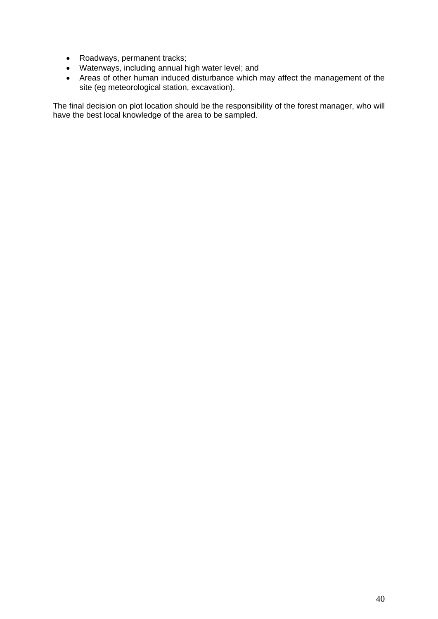- Roadways, permanent tracks;
- Waterways, including annual high water level; and
- Areas of other human induced disturbance which may affect the management of the site (eg meteorological station, excavation).

The final decision on plot location should be the responsibility of the forest manager, who will have the best local knowledge of the area to be sampled.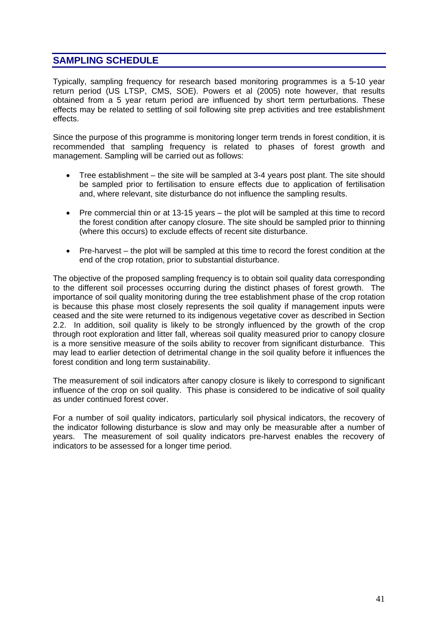## **SAMPLING SCHEDULE**

Typically, sampling frequency for research based monitoring programmes is a 5-10 year return period (US LTSP, CMS, SOE). Powers et al (2005) note however, that results obtained from a 5 year return period are influenced by short term perturbations. These effects may be related to settling of soil following site prep activities and tree establishment effects.

Since the purpose of this programme is monitoring longer term trends in forest condition, it is recommended that sampling frequency is related to phases of forest growth and management. Sampling will be carried out as follows:

- Tree establishment the site will be sampled at 3-4 years post plant. The site should be sampled prior to fertilisation to ensure effects due to application of fertilisation and, where relevant, site disturbance do not influence the sampling results.
- Pre commercial thin or at 13-15 years the plot will be sampled at this time to record the forest condition after canopy closure. The site should be sampled prior to thinning (where this occurs) to exclude effects of recent site disturbance.
- Pre-harvest the plot will be sampled at this time to record the forest condition at the end of the crop rotation, prior to substantial disturbance.

The objective of the proposed sampling frequency is to obtain soil quality data corresponding to the different soil processes occurring during the distinct phases of forest growth. The importance of soil quality monitoring during the tree establishment phase of the crop rotation is because this phase most closely represents the soil quality if management inputs were ceased and the site were returned to its indigenous vegetative cover as described in Section 2.2. In addition, soil quality is likely to be strongly influenced by the growth of the crop through root exploration and litter fall, whereas soil quality measured prior to canopy closure is a more sensitive measure of the soils ability to recover from significant disturbance. This may lead to earlier detection of detrimental change in the soil quality before it influences the forest condition and long term sustainability.

The measurement of soil indicators after canopy closure is likely to correspond to significant influence of the crop on soil quality. This phase is considered to be indicative of soil quality as under continued forest cover.

For a number of soil quality indicators, particularly soil physical indicators, the recovery of the indicator following disturbance is slow and may only be measurable after a number of years. The measurement of soil quality indicators pre-harvest enables the recovery of indicators to be assessed for a longer time period.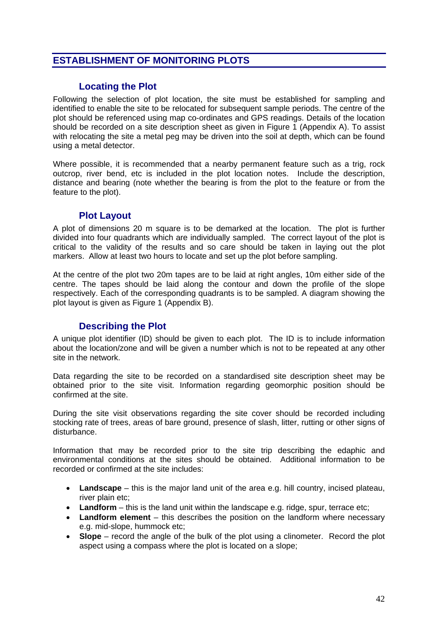#### **ESTABLISHMENT OF MONITORING PLOTS**

#### **Locating the Plot**

Following the selection of plot location, the site must be established for sampling and identified to enable the site to be relocated for subsequent sample periods. The centre of the plot should be referenced using map co-ordinates and GPS readings. Details of the location should be recorded on a site description sheet as given in Figure 1 (Appendix A). To assist with relocating the site a metal peg may be driven into the soil at depth, which can be found using a metal detector.

Where possible, it is recommended that a nearby permanent feature such as a trig, rock outcrop, river bend, etc is included in the plot location notes. Include the description, distance and bearing (note whether the bearing is from the plot to the feature or from the feature to the plot).

#### **Plot Layout**

A plot of dimensions 20 m square is to be demarked at the location. The plot is further divided into four quadrants which are individually sampled. The correct layout of the plot is critical to the validity of the results and so care should be taken in laying out the plot markers. Allow at least two hours to locate and set up the plot before sampling.

At the centre of the plot two 20m tapes are to be laid at right angles, 10m either side of the centre. The tapes should be laid along the contour and down the profile of the slope respectively. Each of the corresponding quadrants is to be sampled. A diagram showing the plot layout is given as Figure 1 (Appendix B).

#### **Describing the Plot**

A unique plot identifier (ID) should be given to each plot. The ID is to include information about the location/zone and will be given a number which is not to be repeated at any other site in the network.

Data regarding the site to be recorded on a standardised site description sheet may be obtained prior to the site visit. Information regarding geomorphic position should be confirmed at the site.

During the site visit observations regarding the site cover should be recorded including stocking rate of trees, areas of bare ground, presence of slash, litter, rutting or other signs of disturbance.

Information that may be recorded prior to the site trip describing the edaphic and environmental conditions at the sites should be obtained. Additional information to be recorded or confirmed at the site includes:

- **Landscape** this is the major land unit of the area e.g. hill country, incised plateau, river plain etc;
- Landform this is the land unit within the landscape e.g. ridge, spur, terrace etc;
- **Landform element**  this describes the position on the landform where necessary e.g. mid-slope, hummock etc;
- **Slope** record the angle of the bulk of the plot using a clinometer. Record the plot aspect using a compass where the plot is located on a slope;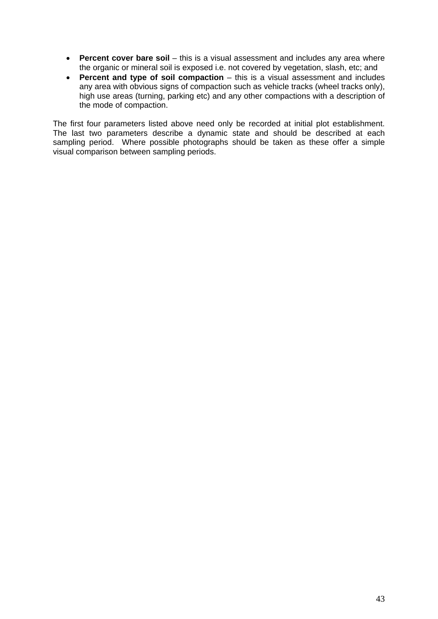- **Percent cover bare soil** this is a visual assessment and includes any area where the organic or mineral soil is exposed i.e. not covered by vegetation, slash, etc; and
- **Percent and type of soil compaction** this is a visual assessment and includes any area with obvious signs of compaction such as vehicle tracks (wheel tracks only), high use areas (turning, parking etc) and any other compactions with a description of the mode of compaction.

The first four parameters listed above need only be recorded at initial plot establishment. The last two parameters describe a dynamic state and should be described at each sampling period. Where possible photographs should be taken as these offer a simple visual comparison between sampling periods.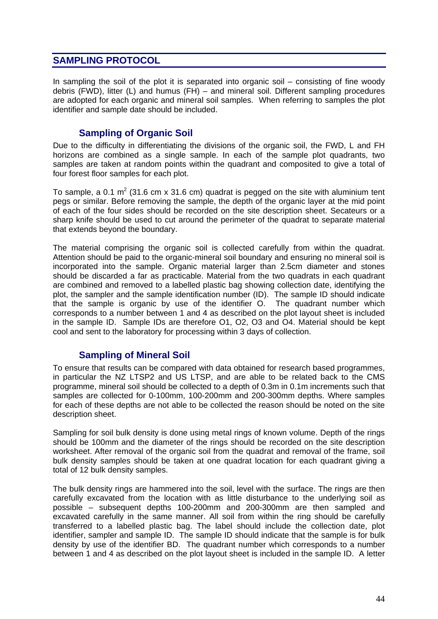#### **SAMPLING PROTOCOL**

In sampling the soil of the plot it is separated into organic soil – consisting of fine woody debris (FWD), litter (L) and humus (FH) – and mineral soil. Different sampling procedures are adopted for each organic and mineral soil samples. When referring to samples the plot identifier and sample date should be included.

#### **Sampling of Organic Soil**

Due to the difficulty in differentiating the divisions of the organic soil, the FWD, L and FH horizons are combined as a single sample. In each of the sample plot quadrants, two samples are taken at random points within the quadrant and composited to give a total of four forest floor samples for each plot.

To sample, a 0.1 m<sup>2</sup> (31.6 cm x 31.6 cm) quadrat is pegged on the site with aluminium tent pegs or similar. Before removing the sample, the depth of the organic layer at the mid point of each of the four sides should be recorded on the site description sheet. Secateurs or a sharp knife should be used to cut around the perimeter of the quadrat to separate material that extends beyond the boundary.

The material comprising the organic soil is collected carefully from within the quadrat. Attention should be paid to the organic-mineral soil boundary and ensuring no mineral soil is incorporated into the sample. Organic material larger than 2.5cm diameter and stones should be discarded a far as practicable. Material from the two quadrats in each quadrant are combined and removed to a labelled plastic bag showing collection date, identifying the plot, the sampler and the sample identification number (ID). The sample ID should indicate that the sample is organic by use of the identifier O. The quadrant number which corresponds to a number between 1 and 4 as described on the plot layout sheet is included in the sample ID. Sample IDs are therefore O1, O2, O3 and O4. Material should be kept cool and sent to the laboratory for processing within 3 days of collection.

#### **Sampling of Mineral Soil**

To ensure that results can be compared with data obtained for research based programmes, in particular the NZ LTSP2 and US LTSP, and are able to be related back to the CMS programme, mineral soil should be collected to a depth of 0.3m in 0.1m increments such that samples are collected for 0-100mm, 100-200mm and 200-300mm depths. Where samples for each of these depths are not able to be collected the reason should be noted on the site description sheet.

Sampling for soil bulk density is done using metal rings of known volume. Depth of the rings should be 100mm and the diameter of the rings should be recorded on the site description worksheet. After removal of the organic soil from the quadrat and removal of the frame, soil bulk density samples should be taken at one quadrat location for each quadrant giving a total of 12 bulk density samples.

The bulk density rings are hammered into the soil, level with the surface. The rings are then carefully excavated from the location with as little disturbance to the underlying soil as possible – subsequent depths 100-200mm and 200-300mm are then sampled and excavated carefully in the same manner. All soil from within the ring should be carefully transferred to a labelled plastic bag. The label should include the collection date, plot identifier, sampler and sample ID. The sample ID should indicate that the sample is for bulk density by use of the identifier BD. The quadrant number which corresponds to a number between 1 and 4 as described on the plot layout sheet is included in the sample ID. A letter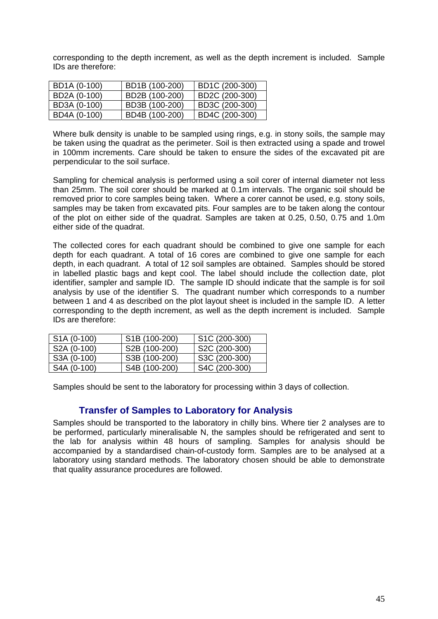corresponding to the depth increment, as well as the depth increment is included. Sample IDs are therefore:

| BD1A (0-100) | BD1B (100-200) | BD1C (200-300) |
|--------------|----------------|----------------|
| BD2A (0-100) | BD2B (100-200) | BD2C (200-300) |
| BD3A (0-100) | BD3B (100-200) | BD3C (200-300) |
| BD4A (0-100) | BD4B (100-200) | BD4C (200-300) |

Where bulk density is unable to be sampled using rings, e.g. in stony soils, the sample may be taken using the quadrat as the perimeter. Soil is then extracted using a spade and trowel in 100mm increments. Care should be taken to ensure the sides of the excavated pit are perpendicular to the soil surface.

Sampling for chemical analysis is performed using a soil corer of internal diameter not less than 25mm. The soil corer should be marked at 0.1m intervals. The organic soil should be removed prior to core samples being taken. Where a corer cannot be used, e.g. stony soils, samples may be taken from excavated pits. Four samples are to be taken along the contour of the plot on either side of the quadrat. Samples are taken at 0.25, 0.50, 0.75 and 1.0m either side of the quadrat.

The collected cores for each quadrant should be combined to give one sample for each depth for each quadrant. A total of 16 cores are combined to give one sample for each depth, in each quadrant. A total of 12 soil samples are obtained. Samples should be stored in labelled plastic bags and kept cool. The label should include the collection date, plot identifier, sampler and sample ID. The sample ID should indicate that the sample is for soil analysis by use of the identifier S. The quadrant number which corresponds to a number between 1 and 4 as described on the plot layout sheet is included in the sample ID. A letter corresponding to the depth increment, as well as the depth increment is included. Sample IDs are therefore:

| S <sub>1</sub> A (0-100) | S1B (100-200) | S <sub>1</sub> C (200-300) |
|--------------------------|---------------|----------------------------|
| S2A (0-100)              | S2B (100-200) | S2C (200-300)              |
| S3A (0-100)              | S3B (100-200) | S3C (200-300)              |
| S4A (0-100)              | S4B (100-200) | S4C (200-300)              |

Samples should be sent to the laboratory for processing within 3 days of collection.

#### **Transfer of Samples to Laboratory for Analysis**

Samples should be transported to the laboratory in chilly bins. Where tier 2 analyses are to be performed, particularly mineralisable N, the samples should be refrigerated and sent to the lab for analysis within 48 hours of sampling. Samples for analysis should be accompanied by a standardised chain-of-custody form. Samples are to be analysed at a laboratory using standard methods. The laboratory chosen should be able to demonstrate that quality assurance procedures are followed.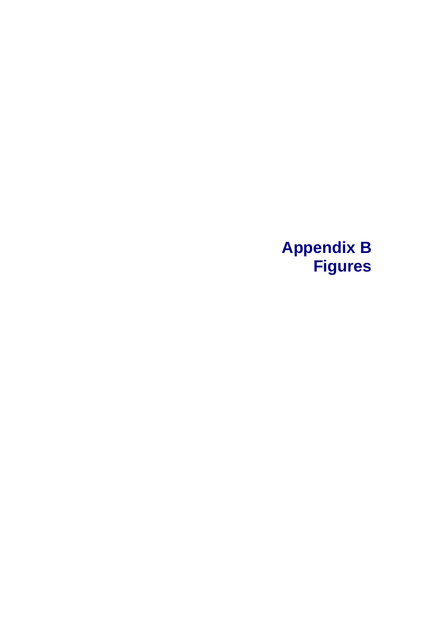## **Appendix B Figures**